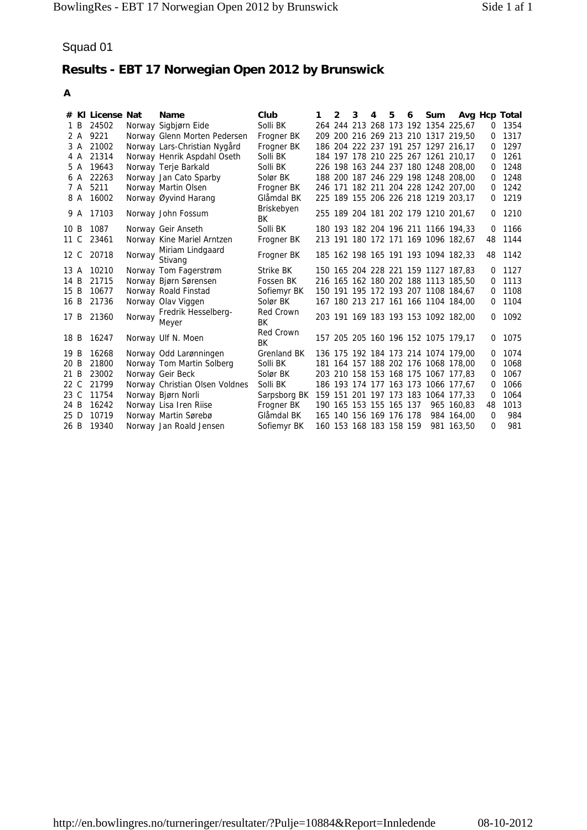| A                    |                                            |        |                                                                                              |                                              |   |   |   |                                                    |   |   |     |                                                                                                                   |               |                              |
|----------------------|--------------------------------------------|--------|----------------------------------------------------------------------------------------------|----------------------------------------------|---|---|---|----------------------------------------------------|---|---|-----|-------------------------------------------------------------------------------------------------------------------|---------------|------------------------------|
| 1 B<br>2 A<br>3 A    | # KI License Nat<br>24502<br>9221<br>21002 |        | Name<br>Norway Sigbjørn Eide<br>Norway Glenn Morten Pedersen<br>Norway Lars-Christian Nygård | Club<br>Solli BK<br>Frogner BK<br>Frogner BK | 1 | 2 | 3 | 4                                                  | 5 | 6 | Sum | 264 244 213 268 173 192 1354 225,67<br>209 200 216 269 213 210 1317 219,50<br>186 204 222 237 191 257 1297 216,17 | Avg Hcp Total | 0 1354<br>0 1317<br>0 1297   |
| 6 A                  | 4 A 21314<br>5 A 19643<br>22263            |        | Norway Henrik Aspdahl Oseth<br>Norway Terje Barkald<br>Norway Jan Cato Sparby                | Solli BK<br>Solli BK<br>Solør BK             |   |   |   |                                                    |   |   |     | 184 197 178 210 225 267 1261 210,17<br>226 198 163 244 237 180 1248 208,00<br>188 200 187 246 229 198 1248 208,00 |               | $0$ 1261<br>0 1248<br>0 1248 |
| 7 A<br>8 A           | 5211<br>16002                              |        | Norway Martin Olsen<br>Norway Øyvind Harang                                                  | Frogner BK<br>Glåmdal BK                     |   |   |   |                                                    |   |   |     | 246 171 182 211 204 228 1242 207,00<br>225 189 155 206 226 218 1219 203,17                                        | 0             | 0 1242<br>1219               |
| 9 A                  | 17103                                      |        | Norway John Fossum                                                                           | Briskebyen<br>BK                             |   |   |   |                                                    |   |   |     | 255 189 204 181 202 179 1210 201,67                                                                               | 0             | 1210                         |
| 10B<br>11 C          | 1087<br>23461                              |        | Norway Geir Anseth<br>Norway Kine Mariel Arntzen<br>Miriam Lindgaard                         | Solli BK<br>Frogner BK                       |   |   |   |                                                    |   |   |     | 180 193 182 204 196 211 1166 194,33<br>213 191 180 172 171 169 1096 182,67                                        | 0<br>48       | 1166<br>1144                 |
| 12 C                 | 20718                                      | Norway | Stivang                                                                                      | Frogner BK                                   |   |   |   |                                                    |   |   |     | 185 162 198 165 191 193 1094 182,33                                                                               | 48            | 1142                         |
| 13 A<br>14 B<br>15 B | 10210<br>21715<br>10677                    |        | Norway Tom Fagerstrøm<br>Norway Bjørn Sørensen<br>Norway Roald Finstad                       | Strike BK<br>Fossen BK<br>Sofiemyr BK        |   |   |   |                                                    |   |   |     | 150 165 204 228 221 159 1127 187,83<br>216 165 162 180 202 188 1113 185,50<br>150 191 195 172 193 207 1108 184,67 | 0             | 1127<br>0 1113<br>0 1108     |
| 16B<br>17B           | 21736<br>21360                             | Norway | Norway Olav Viggen<br>Fredrik Hesselberg-                                                    | Solør BK<br>Red Crown                        |   |   |   |                                                    |   |   |     | 167 180 213 217 161 166 1104 184,00<br>203 191 169 183 193 153 1092 182,00                                        | 0<br>0        | 1104<br>1092                 |
|                      | 18 B 16247                                 |        | Meyer<br>Norway Ulf N. Moen                                                                  | BK<br>Red Crown<br>BK                        |   |   |   |                                                    |   |   |     | 157 205 205 160 196 152 1075 179,17                                                                               | 0             | 1075                         |
| 19 B<br>20 B<br>21 B | 16268<br>21800<br>23002                    |        | Norway Odd Larønningen<br>Norway Tom Martin Solberg<br>Norway Geir Beck                      | Grenland BK<br>Solli BK<br>Solør BK          |   |   |   |                                                    |   |   |     | 136 175 192 184 173 214 1074 179,00<br>181 164 157 188 202 176 1068 178,00<br>203 210 158 153 168 175 1067 177,83 | 0             | 1074<br>0 1068<br>0 1067     |
| 22 C                 | 21799                                      |        | Norway Christian Olsen Voldnes                                                               | Solli BK                                     |   |   |   |                                                    |   |   |     | 186 193 174 177 163 173 1066 177,67                                                                               | 0             | 1066                         |
| 23 C<br>24 B         | 11754<br>16242                             |        | Norway Bjørn Norli<br>Norway Lisa Iren Riise                                                 | Sarpsborg BK<br>Frogner BK                   |   |   |   | 190 165 153 155 165 137                            |   |   |     | 159 151 201 197 173 183 1064 177,33<br>965 160,83                                                                 | 0<br>48       | 1064<br>1013                 |
| 25 D<br>26 B         | 10719<br>19340                             |        | Norway Martin Sørebø<br>Norway Jan Roald Jensen                                              | Glåmdal BK<br>Sofiemyr BK                    |   |   |   | 165 140 156 169 176 178<br>160 153 168 183 158 159 |   |   |     | 984 164,00<br>981 163,50                                                                                          | 0<br>0        | 984<br>981                   |
|                      |                                            |        |                                                                                              |                                              |   |   |   |                                                    |   |   |     |                                                                                                                   |               |                              |
|                      |                                            |        |                                                                                              |                                              |   |   |   |                                                    |   |   |     |                                                                                                                   |               |                              |
|                      |                                            |        |                                                                                              |                                              |   |   |   |                                                    |   |   |     |                                                                                                                   |               |                              |
|                      |                                            |        |                                                                                              |                                              |   |   |   |                                                    |   |   |     |                                                                                                                   |               |                              |
|                      |                                            |        |                                                                                              |                                              |   |   |   |                                                    |   |   |     |                                                                                                                   |               |                              |
|                      |                                            |        |                                                                                              |                                              |   |   |   |                                                    |   |   |     |                                                                                                                   |               |                              |
|                      |                                            |        |                                                                                              |                                              |   |   |   |                                                    |   |   |     |                                                                                                                   |               |                              |
|                      |                                            |        |                                                                                              |                                              |   |   |   |                                                    |   |   |     |                                                                                                                   |               |                              |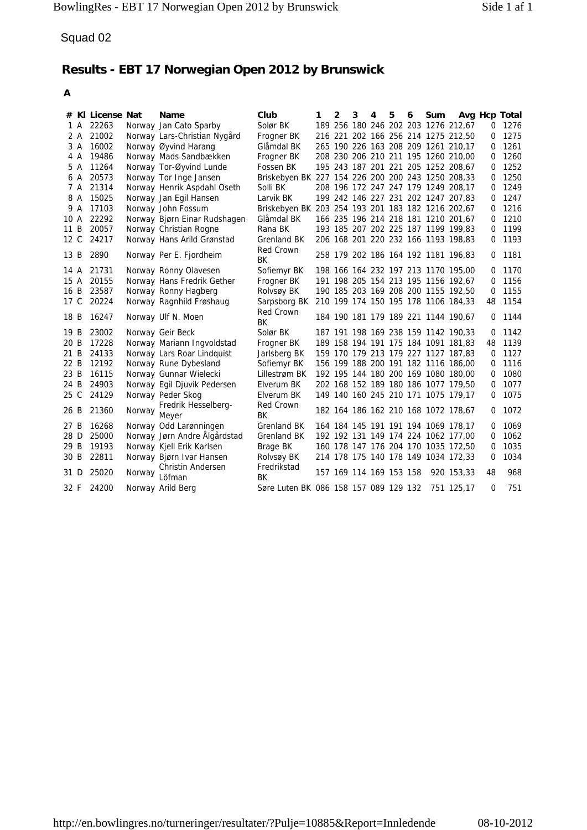| Squad 02     |                                        |        |                                                                               |                                                                |   |   |   |                         |   |   |     |                                                                            |         |                                   |
|--------------|----------------------------------------|--------|-------------------------------------------------------------------------------|----------------------------------------------------------------|---|---|---|-------------------------|---|---|-----|----------------------------------------------------------------------------|---------|-----------------------------------|
|              |                                        |        | Results - EBT 17 Norwegian Open 2012 by Brunswick                             |                                                                |   |   |   |                         |   |   |     |                                                                            |         |                                   |
| A            |                                        |        |                                                                               |                                                                |   |   |   |                         |   |   |     |                                                                            |         |                                   |
| 2 A          | # KI License Nat<br>1 A 22263<br>21002 |        | <b>Name</b><br>Norway Jan Cato Sparby                                         | Club<br>Solør BK                                               | 1 | 2 | 3 | 4                       | 5 | 6 | Sum | 189 256 180 246 202 203 1276 212,67<br>216 221 202 166 256 214 1275 212,50 |         | Avg Hcp Total<br>0 1276<br>0 1275 |
| 3 A          | 16002                                  |        | Norway Lars-Christian Nygård<br>Norway Øyvind Harang                          | Frogner BK<br>Glåmdal BK                                       |   |   |   |                         |   |   |     | 265 190 226 163 208 209 1261 210,17                                        |         | $0$ 1261                          |
| 4 A<br>5 A   | 19486<br>11264                         |        | Norway Mads Sandbækken<br>Norway Tor-Øyvind Lunde                             | Frogner BK<br>Fossen BK                                        |   |   |   |                         |   |   |     | 208 230 206 210 211 195 1260 210,00<br>195 243 187 201 221 205 1252 208,67 | 0<br>0  | 1260<br>1252                      |
| 6 A          | 20573                                  |        | Norway Tor Inge Jansen                                                        | Briskebyen BK 227 154 226 200 200 243 1250 208,33              |   |   |   |                         |   |   |     |                                                                            |         | 0 1250                            |
| 7 A          | 21314                                  |        | Norway Henrik Aspdahl Oseth                                                   | Solli BK                                                       |   |   |   |                         |   |   |     | 208 196 172 247 247 179 1249 208,17                                        |         | 0 1249                            |
| 8 A<br>9 A   | 15025<br>17103                         |        | Norway Jan Egil Hansen<br>Norway John Fossum                                  | Larvik BK<br>Briskebyen BK 203 254 193 201 183 182 1216 202,67 |   |   |   |                         |   |   |     | 199 242 146 227 231 202 1247 207,83                                        | 0<br>0  | 1247<br>1216                      |
| 10 A         | 22292                                  |        | Norway Bjørn Einar Rudshagen                                                  | Glåmdal BK                                                     |   |   |   |                         |   |   |     | 166 235 196 214 218 181 1210 201,67                                        |         | $0$ 1210                          |
| 11B<br>12 C  | 20057<br>24217                         |        | Norway Christian Rogne                                                        | Rana BK                                                        |   |   |   |                         |   |   |     | 193 185 207 202 225 187 1199 199,83<br>206 168 201 220 232 166 1193 198,83 | 0<br>0  | 1199<br>1193                      |
|              | 2890                                   |        | Norway Hans Arild Grønstad                                                    | Grenland BK<br>Red Crown                                       |   |   |   |                         |   |   |     | 258 179 202 186 164 192 1181 196,83                                        |         | 1181                              |
| 13 B         | 21731                                  |        | Norway Per E. Fjordheim                                                       | ВK<br>Sofiemyr BK                                              |   |   |   |                         |   |   |     |                                                                            | 0<br>0  | 1170                              |
| 14 A<br>15 A | 20155                                  |        | Norway Ronny Olavesen<br>Norway Hans Fredrik Gether                           | Frogner BK                                                     |   |   |   |                         |   |   |     | 198 166 164 232 197 213 1170 195,00<br>191 198 205 154 213 195 1156 192,67 | 0       | 1156                              |
| 16 B         | 23587                                  |        | Norway Ronny Hagberg                                                          | Rolvsøy BK                                                     |   |   |   |                         |   |   |     | 190 185 203 169 208 200 1155 192,50                                        | 0       | 1155                              |
| 17 C         | 20224                                  |        | Norway Ragnhild Frøshaug                                                      | Sarpsborg BK<br>Red Crown                                      |   |   |   |                         |   |   |     | 210 199 174 150 195 178 1106 184,33                                        | 48      | 1154                              |
| 18 B         | 16247                                  |        | Norway Ulf N. Moen                                                            | ВK                                                             |   |   |   |                         |   |   |     | 184 190 181 179 189 221 1144 190,67                                        | 0       | 1144                              |
| 19 B<br>20 B | 23002<br>17228                         |        | Norway Geir Beck<br>Norway Mariann Ingvoldstad                                | Solør BK<br>Frogner BK                                         |   |   |   |                         |   |   |     | 187 191 198 169 238 159 1142 190,33<br>189 158 194 191 175 184 1091 181,83 | 0<br>48 | 1142<br>1139                      |
| 21 B         | 24133                                  |        | Norway Lars Roar Lindquist                                                    | Jarlsberg BK                                                   |   |   |   |                         |   |   |     | 159 170 179 213 179 227 1127 187,83                                        |         | 0 1127                            |
| 22 B         | 12192                                  |        | Norway Rune Dybesland                                                         | Sofiemyr BK                                                    |   |   |   |                         |   |   |     | 156 199 188 200 191 182 1116 186,00                                        | 0       | 1116                              |
| 23 B<br>24 B | 16115<br>24903                         |        | Norway Gunnar Wielecki<br>Norway Egil Djuvik Pedersen                         | Lillestrøm BK<br>Elverum BK                                    |   |   |   |                         |   |   |     | 192 195 144 180 200 169 1080 180,00<br>202 168 152 189 180 186 1077 179,50 | 0<br>0  | 1080<br>1077                      |
| 25 C         | 24129                                  |        | Norway Peder Skog                                                             | Elverum BK                                                     |   |   |   |                         |   |   |     | 149 140 160 245 210 171 1075 179,17                                        | 0       | 1075                              |
| 26 B         | 21360                                  | Norway | Fredrik Hesselberg-<br>Meyer                                                  | Red Crown<br>ВK                                                |   |   |   |                         |   |   |     | 182 164 186 162 210 168 1072 178,67                                        | 0       | 1072                              |
| 27 B<br>28 D | 16268<br>25000                         |        | Norway Odd Larønningen<br>Norway Jørn Andre Algårdstad                        | Grenland BK<br>Grenland BK                                     |   |   |   |                         |   |   |     | 164 184 145 191 191 194 1069 178,17<br>192 192 131 149 174 224 1062 177,00 | 0<br>0  | 1069<br>1062                      |
| 29 B         | 19193                                  |        | Norway Kjell Erik Karlsen                                                     | Brage BK                                                       |   |   |   |                         |   |   |     | 160 178 147 176 204 170 1035 172,50                                        | 0       | 1035                              |
| 30 B         | 22811                                  |        | Norway Bjørn Ivar Hansen                                                      | Rolvsøy BK                                                     |   |   |   |                         |   |   |     | 214 178 175 140 178 149 1034 172,33                                        | 0       | 1034                              |
|              | 31 D 25020                             | Norway | Christin Andersen<br>Löfman                                                   | Fredrikstad<br>BК                                              |   |   |   | 157 169 114 169 153 158 |   |   |     | 920 153,33                                                                 | 48      | 968                               |
|              | 32 F 24200                             |        | Norway Arild Berg                                                             | Søre Luten BK 086 158 157 089 129 132 751 125,17               |   |   |   |                         |   |   |     |                                                                            | 0       | 751                               |
|              |                                        |        |                                                                               |                                                                |   |   |   |                         |   |   |     |                                                                            |         |                                   |
|              |                                        |        | http://en.bowlingres.no/turneringer/resultater/?Pulje=10885&Report=Innledende |                                                                |   |   |   |                         |   |   |     |                                                                            |         | 08-10-2012                        |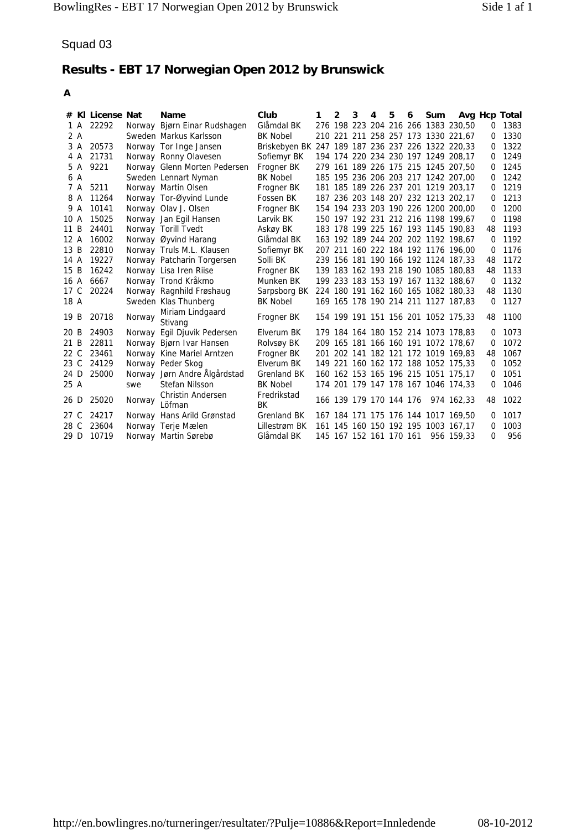| A            |                               |        |                                                        |                                                   |              |              |   |                         |   |   |     |                                                                            |                |                         |
|--------------|-------------------------------|--------|--------------------------------------------------------|---------------------------------------------------|--------------|--------------|---|-------------------------|---|---|-----|----------------------------------------------------------------------------|----------------|-------------------------|
|              | # KI License Nat<br>1 A 22292 |        | Name<br>Norway Bjørn Einar Rudshagen                   | Club<br>Glåmdal BK                                | $\mathbf{1}$ | $\mathbf{2}$ | 3 | 4                       | 5 | 6 | Sum | 276 198 223 204 216 266 1383 230,50                                        |                | Avg Hcp Total<br>0 1383 |
| 2 A          |                               |        | Sweden Markus Karlsson                                 | BK Nobel                                          |              |              |   |                         |   |   |     | 210 221 211 258 257 173 1330 221,67                                        |                | 0 1330                  |
| 3 A          | 20573                         |        | Norway Tor Inge Jansen                                 | Briskebyen BK 247 189 187 236 237 226 1322 220,33 |              |              |   |                         |   |   |     |                                                                            |                | 0 1322                  |
| 4 A          | 21731                         |        | Norway Ronny Olavesen                                  | Sofiemyr BK                                       |              |              |   |                         |   |   |     | 194 174 220 234 230 197 1249 208,17                                        | 0              | 1249                    |
| 5 A          | 9221                          |        | Norway Glenn Morten Pedersen                           | Frogner BK                                        |              |              |   |                         |   |   |     | 279 161 189 226 175 215 1245 207,50                                        |                | 0 1245                  |
| 6 A<br>7 A   | 5211                          |        | Sweden Lennart Nyman<br>Norway Martin Olsen            | <b>BK Nobel</b><br>Frogner BK                     |              |              |   |                         |   |   |     | 185 195 236 206 203 217 1242 207,00<br>181 185 189 226 237 201 1219 203,17 | 0              | 0 1242<br>1219          |
| 8 A          | 11264                         |        | Norway Tor-Øyvind Lunde                                | Fossen BK                                         |              |              |   |                         |   |   |     | 187 236 203 148 207 232 1213 202,17                                        | 0              | 1213                    |
| 9 A          | 10141                         |        | Norway Olav J. Olsen                                   | Frogner BK                                        |              |              |   |                         |   |   |     | 154 194 233 203 190 226 1200 200,00                                        |                | 0 1200                  |
| 10 A         | 15025                         |        | Norway Jan Egil Hansen                                 | Larvik BK                                         |              |              |   |                         |   |   |     | 150 197 192 231 212 216 1198 199,67                                        | 0              | 1198                    |
| 11 B         | 24401                         |        | Norway Torill Tvedt                                    | Askøy BK                                          |              |              |   |                         |   |   |     | 183 178 199 225 167 193 1145 190,83                                        | 48             | 1193                    |
| 12A<br>13B   | 16002<br>22810                |        | Norway Øyvind Harang<br>Norway Truls M.L. Klausen      | Glåmdal BK                                        |              |              |   |                         |   |   |     | 163 192 189 244 202 202 1192 198,67<br>207 211 160 222 184 192 1176 196,00 | 0<br>0         | 1192<br>1176            |
| 14 A         | 19227                         |        | Norway Patcharin Torgersen                             | Sofiemyr BK<br>Solli BK                           |              |              |   |                         |   |   |     | 239 156 181 190 166 192 1124 187,33                                        | 48             | 1172                    |
| 15 B         | 16242                         |        | Norway Lisa Iren Riise                                 | Frogner BK                                        |              |              |   |                         |   |   |     | 139 183 162 193 218 190 1085 180,83                                        |                | 48 1133                 |
|              | 16 A 6667                     |        | Norway Trond Kråkmo                                    | Munken BK                                         |              |              |   |                         |   |   |     | 199 233 183 153 197 167 1132 188,67                                        | 0              | 1132                    |
|              | 17 C 20224                    |        | Norway Ragnhild Frøshaug                               | Sarpsborg BK                                      |              |              |   |                         |   |   |     | 224 180 191 162 160 165 1082 180,33                                        | 48             | 1130                    |
| 18 A         |                               |        | Sweden Klas Thunberg<br>Miriam Lindgaard               | <b>BK Nobel</b>                                   |              |              |   |                         |   |   |     | 169 165 178 190 214 211 1127 187,83                                        | 0              | 1127                    |
| 19 B         | 20718                         | Norway | Stivang                                                | Frogner BK                                        |              |              |   |                         |   |   |     | 154 199 191 151 156 201 1052 175,33                                        | 48             | 1100                    |
| 20 B         | 24903                         |        | Norway Egil Djuvik Pedersen                            | Elverum BK                                        |              |              |   |                         |   |   |     | 179 184 164 180 152 214 1073 178,83                                        | 0              | 1073                    |
| 21 B<br>22 C | 22811<br>23461                |        | Norway Bjørn Ivar Hansen<br>Norway Kine Mariel Arntzen | Rolvsøy BK                                        |              |              |   |                         |   |   |     | 209 165 181 166 160 191 1072 178,67<br>201 202 141 182 121 172 1019 169,83 | $\Omega$<br>48 | 1072<br>1067            |
| 23 C         | 24129                         |        | Norway Peder Skog                                      | Frogner BK<br>Elverum BK                          |              |              |   |                         |   |   |     | 149 221 160 162 172 188 1052 175,33                                        |                | 0 1052                  |
| 24 D         | 25000                         |        | Norway Jørn Andre Ålgårdstad                           | Grenland BK                                       |              |              |   |                         |   |   |     | 160 162 153 165 196 215 1051 175,17                                        | 0              | 1051                    |
| 25 A         |                               | swe    | Stefan Nilsson                                         | <b>BK Nobel</b>                                   |              |              |   |                         |   |   |     | 174 201 179 147 178 167 1046 174,33                                        | 0              | 1046                    |
| 26 D         | 25020                         | Norway | Christin Andersen<br>Löfman                            | Fredrikstad<br>ВK                                 |              |              |   | 166 139 179 170 144 176 |   |   |     | 974 162,33                                                                 | 48             | 1022                    |
| 27 C<br>28 C | 24217<br>23604                |        | Norway Hans Arild Grønstad                             | Grenland BK                                       |              |              |   |                         |   |   |     | 167 184 171 175 176 144 1017 169,50                                        | 0<br>0         | 1017<br>1003            |
|              | 29 D 10719                    |        | Norway Terje Mælen<br>Norway Martin Sørebø             | Lillestrøm BK<br>Glåmdal BK                       |              |              |   | 145 167 152 161 170 161 |   |   |     | 161 145 160 150 192 195 1003 167,17<br>956 159,33                          | 0              | 956                     |
|              |                               |        |                                                        |                                                   |              |              |   |                         |   |   |     |                                                                            |                |                         |
|              |                               |        |                                                        |                                                   |              |              |   |                         |   |   |     |                                                                            |                |                         |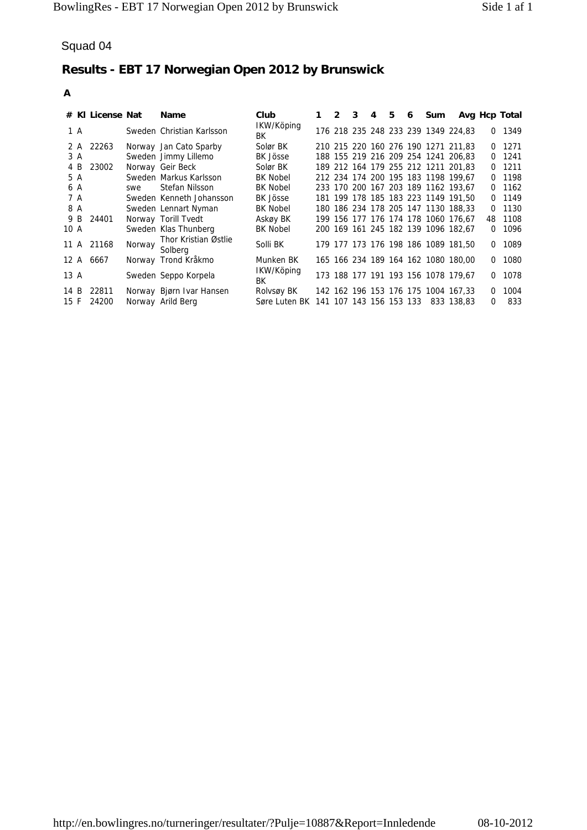|              | # KI License Nat |        | Name                                           | Club<br>IKW/Köping                                             | 1 | $\mathbf{2}$ | 3 | 4 | 5 | 6 | Sum |                                                                            | Avg Hcp Total |                |
|--------------|------------------|--------|------------------------------------------------|----------------------------------------------------------------|---|--------------|---|---|---|---|-----|----------------------------------------------------------------------------|---------------|----------------|
| 1 A          |                  |        | Sweden Christian Karlsson                      | ВK                                                             |   |              |   |   |   |   |     | 176 218 235 248 233 239 1349 224,83                                        |               | 0 1349         |
| 2 A<br>3 A   | 22263            |        | Norway Jan Cato Sparby<br>Sweden Jimmy Lillemo | Solør BK<br>BK Jösse                                           |   |              |   |   |   |   |     | 210 215 220 160 276 190 1271 211,83<br>188 155 219 216 209 254 1241 206,83 | 0             | 1271<br>0 1241 |
| 4 B          | 23002            |        | Norway Geir Beck                               | Solør BK                                                       |   |              |   |   |   |   |     | 189 212 164 179 255 212 1211 201,83                                        |               | $0$ 1211       |
| 5 A<br>6 A   |                  | swe    | Sweden Markus Karlsson<br>Stefan Nilsson       | <b>BK Nobel</b><br><b>BK Nobel</b>                             |   |              |   |   |   |   |     | 212 234 174 200 195 183 1198 199,67<br>233 170 200 167 203 189 1162 193,67 | 0             | 0 1198<br>1162 |
| 7 A          |                  |        | Sweden Kenneth Johansson                       | BK Jösse                                                       |   |              |   |   |   |   |     | 181 199 178 185 183 223 1149 191,50                                        |               | 0 1149         |
| 8 A<br>9 B   | 24401            |        | Sweden Lennart Nyman<br>Norway Torill Tvedt    | <b>BK Nobel</b><br>Askøy BK                                    |   |              |   |   |   |   |     | 180 186 234 178 205 147 1130 188,33<br>199 156 177 176 174 178 1060 176,67 | 0<br>48       | 1130<br>1108   |
| 10 A         |                  |        | Sweden Klas Thunberg                           | <b>BK Nobel</b>                                                |   |              |   |   |   |   |     | 200 169 161 245 182 139 1096 182,67                                        | 0             | 1096           |
|              | 11 A 21168       | Norway | Thor Kristian Østlie<br>Solberg                | Solli BK                                                       |   |              |   |   |   |   |     | 179 177 173 176 198 186 1089 181,50                                        | 0             | 1089           |
|              | 12 A 6667        |        | Norway Trond Kråkmo                            | Munken BK                                                      |   |              |   |   |   |   |     | 165 166 234 189 164 162 1080 180,00                                        | 0             | 1080           |
| 13 A         |                  |        | Sweden Seppo Korpela                           | IKW/Köping<br>ВK                                               |   |              |   |   |   |   |     | 173 188 177 191 193 156 1078 179,67                                        | 0             | 1078           |
| 14 B<br>15 F | 22811<br>24200   |        | Norway Bjørn Ivar Hansen<br>Norway Arild Berg  | Rolvsøy BK<br>Søre Luten BK 141 107 143 156 153 133 833 138,83 |   |              |   |   |   |   |     | 142 162 196 153 176 175 1004 167,33                                        | 0<br>0        | 1004<br>833    |
|              |                  |        |                                                |                                                                |   |              |   |   |   |   |     |                                                                            |               |                |
|              |                  |        |                                                |                                                                |   |              |   |   |   |   |     |                                                                            |               |                |
|              |                  |        |                                                |                                                                |   |              |   |   |   |   |     |                                                                            |               |                |
|              |                  |        |                                                |                                                                |   |              |   |   |   |   |     |                                                                            |               |                |
|              |                  |        |                                                |                                                                |   |              |   |   |   |   |     |                                                                            |               |                |
|              |                  |        |                                                |                                                                |   |              |   |   |   |   |     |                                                                            |               |                |
|              |                  |        |                                                |                                                                |   |              |   |   |   |   |     |                                                                            |               |                |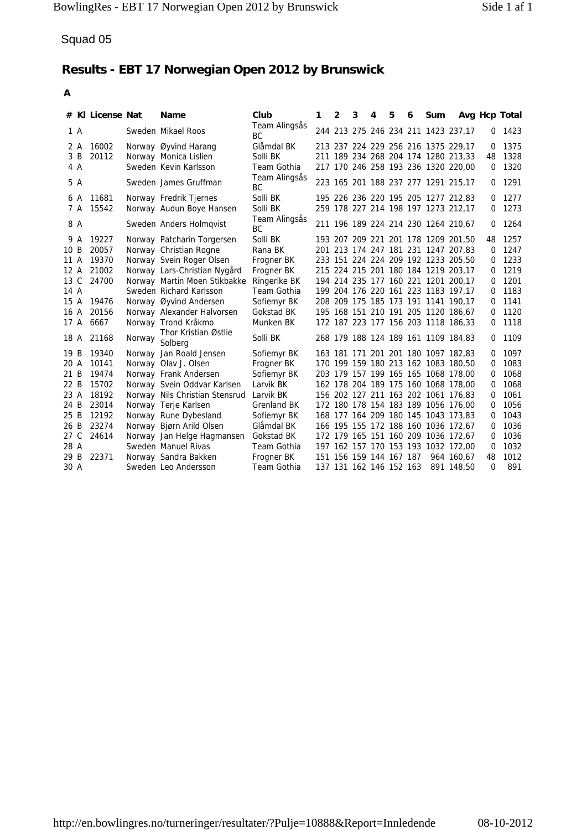| # KI License Nat               |        | <b>Name</b>                                                   | Club                         | 1 | $\mathbf{2}$ | 3 | 4                                                  | 5 | 6 | Sum |                                                                            | Avg Hcp Total |              |
|--------------------------------|--------|---------------------------------------------------------------|------------------------------|---|--------------|---|----------------------------------------------------|---|---|-----|----------------------------------------------------------------------------|---------------|--------------|
| 1 A                            |        | Sweden Mikael Roos                                            | Team Alingsås                |   |              |   |                                                    |   |   |     | 244 213 275 246 234 211 1423 237,17                                        | 0             | 1423         |
| 16002<br>2 A                   |        | Norway Øyvind Harang                                          | ВC<br>Glåmdal BK             |   |              |   |                                                    |   |   |     | 213 237 224 229 256 216 1375 229,17                                        | 0             | 1375         |
| 3 B<br>20112                   |        | Norway Monica Lislien                                         | Solli BK                     |   |              |   |                                                    |   |   |     | 211 189 234 268 204 174 1280 213,33                                        | 48            | 1328         |
| 4 A                            |        | Sweden Kevin Karlsson                                         | Team Gothia<br>Team Alingsås |   |              |   |                                                    |   |   |     | 217 170 246 258 193 236 1320 220,00                                        | 0             | 1320         |
| 5 A                            |        | Sweden James Gruffman                                         | ВC                           |   |              |   |                                                    |   |   |     | 223 165 201 188 237 277 1291 215,17                                        | 0             | 1291         |
| 11681<br>6 A<br>15542<br>7 A   |        | Norway Fredrik Tjernes<br>Norway Audun Boye Hansen            | Solli BK<br>Solli BK         |   |              |   |                                                    |   |   |     | 195 226 236 220 195 205 1277 212,83<br>259 178 227 214 198 197 1273 212,17 | 0<br>0        | 1277<br>1273 |
| 8 A                            |        |                                                               | Team Alingsås                |   |              |   |                                                    |   |   |     | 211 196 189 224 214 230 1264 210,67                                        | 0             | 1264         |
| 19227<br>9 A                   |        | Sweden Anders Holmqvist<br>Norway Patcharin Torgersen         | BC<br>Solli BK               |   |              |   |                                                    |   |   |     | 193 207 209 221 201 178 1209 201,50                                        | 48            | 1257         |
| 20057<br>10B                   |        | Norway Christian Rogne                                        | Rana BK                      |   |              |   |                                                    |   |   |     | 201 213 174 247 181 231 1247 207,83                                        |               | 0 1247       |
| 19370<br>11 A                  |        | Norway Svein Roger Olsen                                      | Frogner BK                   |   |              |   |                                                    |   |   |     | 233 151 224 224 209 192 1233 205,50                                        | 0             | 1233         |
| 21002<br>12 A<br>13 C<br>24700 |        | Norway Lars-Christian Nygård<br>Norway Martin Moen Stikbakke  | Frogner BK<br>Ringerike BK   |   |              |   |                                                    |   |   |     | 215 224 215 201 180 184 1219 203,17<br>194 214 235 177 160 221 1201 200,17 | 0<br>0        | 1219<br>1201 |
| 14 A                           |        | Sweden Richard Karlsson                                       | Team Gothia                  |   |              |   |                                                    |   |   |     | 199 204 176 220 161 223 1183 197,17                                        |               | 0 1183       |
| 15 A<br>19476                  |        | Norway Øyvind Andersen                                        | Sofiemyr BK                  |   |              |   |                                                    |   |   |     | 208 209 175 185 173 191 1141 190,17                                        | 0             | 1141         |
| 20156<br>16 A<br>17 A<br>6667  |        | Norway Alexander Halvorsen<br>Norway Trond Kråkmo             | Gokstad BK<br>Munken BK      |   |              |   |                                                    |   |   |     | 195 168 151 210 191 205 1120 186,67<br>172 187 223 177 156 203 1118 186,33 | 0<br>0        | 1120<br>1118 |
| 21168<br>18 A                  | Norway | Thor Kristian Østlie                                          | Solli BK                     |   |              |   |                                                    |   |   |     | 268 179 188 124 189 161 1109 184,83                                        | 0             | 1109         |
| 19 B<br>19340                  |        | Solberg<br>Norway Jan Roald Jensen                            | Sofiemyr BK                  |   |              |   |                                                    |   |   |     | 163 181 171 201 201 180 1097 182,83                                        | 0             | 1097         |
| 20 A<br>10141                  |        | Norway Olav J. Olsen                                          | Frogner BK                   |   |              |   |                                                    |   |   |     | 170 199 159 180 213 162 1083 180,50                                        | 0             | 1083         |
| 21 B<br>19474                  |        | Norway Frank Andersen                                         | Sofiemyr BK                  |   |              |   |                                                    |   |   |     | 203 179 157 199 165 165 1068 178,00                                        | 0             | 1068         |
| 15702<br>22 B<br>18192<br>23 A |        | Norway Svein Oddvar Karlsen<br>Norway Nils Christian Stensrud | Larvik BK<br>Larvik BK       |   |              |   |                                                    |   |   |     | 162 178 204 189 175 160 1068 178,00<br>156 202 127 211 163 202 1061 176,83 | 0<br>0        | 1068<br>1061 |
| 24 B<br>23014                  |        | Norway Terje Karlsen                                          | Grenland BK                  |   |              |   |                                                    |   |   |     | 172 180 178 154 183 189 1056 176,00                                        | 0             | 1056         |
| 12192<br>25 B<br>23274<br>26 B |        | Norway Rune Dybesland<br>Norway Bjørn Arild Olsen             | Sofiemyr BK<br>Glåmdal BK    |   |              |   |                                                    |   |   |     | 168 177 164 209 180 145 1043 173,83<br>166 195 155 172 188 160 1036 172,67 | 0<br>0        | 1043<br>1036 |
| 27 C<br>24614                  |        | Norway Jan Helge Hagmansen                                    | Gokstad BK                   |   |              |   |                                                    |   |   |     | 172 179 165 151 160 209 1036 172,67                                        | 0             | 1036         |
| 28 A                           |        | Sweden Manuel Rivas                                           | Team Gothia                  |   |              |   |                                                    |   |   |     | 197 162 157 170 153 193 1032 172,00                                        | 0             | 1032         |
| 29 B<br>22371<br>30 A          |        | Norway Sandra Bakken<br>Sweden Leo Andersson                  | Frogner BK<br>Team Gothia    |   |              |   | 151 156 159 144 167 187<br>137 131 162 146 152 163 |   |   |     | 964 160,67<br>891 148,50                                                   | 48<br>0       | 1012<br>891  |
|                                |        |                                                               |                              |   |              |   |                                                    |   |   |     |                                                                            |               |              |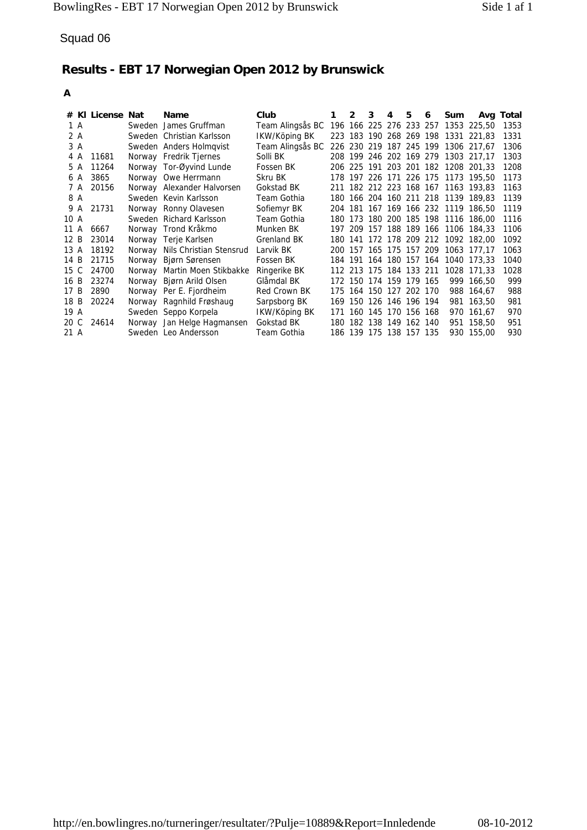| Squad 06                                                                                                                                                                                                                                                                                                 |                                                                                                                                                                                                                                                                                                                                                                                                                                                                                                                                                                                                |                                                                                                                                                                                                                                                                                                                                                                    |   |   |                                                                                                                                                                     |   |   |   |     |                                                                                                                                                                                                                                                                                                                                                                                                                                                                                                                                                                                                                                                    |                                                                                                                                                                             |
|----------------------------------------------------------------------------------------------------------------------------------------------------------------------------------------------------------------------------------------------------------------------------------------------------------|------------------------------------------------------------------------------------------------------------------------------------------------------------------------------------------------------------------------------------------------------------------------------------------------------------------------------------------------------------------------------------------------------------------------------------------------------------------------------------------------------------------------------------------------------------------------------------------------|--------------------------------------------------------------------------------------------------------------------------------------------------------------------------------------------------------------------------------------------------------------------------------------------------------------------------------------------------------------------|---|---|---------------------------------------------------------------------------------------------------------------------------------------------------------------------|---|---|---|-----|----------------------------------------------------------------------------------------------------------------------------------------------------------------------------------------------------------------------------------------------------------------------------------------------------------------------------------------------------------------------------------------------------------------------------------------------------------------------------------------------------------------------------------------------------------------------------------------------------------------------------------------------------|-----------------------------------------------------------------------------------------------------------------------------------------------------------------------------|
|                                                                                                                                                                                                                                                                                                          | Results - EBT 17 Norwegian Open 2012 by Brunswick                                                                                                                                                                                                                                                                                                                                                                                                                                                                                                                                              |                                                                                                                                                                                                                                                                                                                                                                    |   |   |                                                                                                                                                                     |   |   |   |     |                                                                                                                                                                                                                                                                                                                                                                                                                                                                                                                                                                                                                                                    |                                                                                                                                                                             |
| A                                                                                                                                                                                                                                                                                                        |                                                                                                                                                                                                                                                                                                                                                                                                                                                                                                                                                                                                |                                                                                                                                                                                                                                                                                                                                                                    |   |   |                                                                                                                                                                     |   |   |   |     |                                                                                                                                                                                                                                                                                                                                                                                                                                                                                                                                                                                                                                                    |                                                                                                                                                                             |
| # KI License Nat<br>1 A<br>2 A<br>3 A<br>4 A<br>11681<br>11264<br>5 A<br>3865<br>6 A<br>20156<br>7 A<br>8 A<br>9 A<br>21731<br>10 A<br>11 A<br>6667<br>12B<br>23014<br>18192<br>13 A<br>14 B<br>21715<br>15 C<br>24700<br>16 B<br>23274<br>17B<br>2890<br>18 B<br>20224<br>19 A<br>20 C<br>24614<br>21 A | <b>Name</b><br>Sweden James Gruffman<br>Sweden Christian Karlsson<br>Sweden Anders Holmqvist<br>Norway Fredrik Tjernes<br>Norway Tor-Øyvind Lunde<br>Norway Owe Herrmann<br>Norway Alexander Halvorsen<br>Sweden Kevin Karlsson<br>Norway Ronny Olavesen<br>Sweden Richard Karlsson<br>Norway Trond Kråkmo<br>Norway Terje Karlsen<br>Norway Nils Christian Stensrud<br>Norway Bjørn Sørensen<br>Norway Martin Moen Stikbakke<br>Norway Bjørn Arild Olsen<br>Norway Per E. Fjordheim<br>Norway Ragnhild Frøshaug<br>Sweden Seppo Korpela<br>Norway Jan Helge Hagmansen<br>Sweden Leo Andersson | Club<br>Team Alingsås BC<br>IKW/Köping BK<br>Team Alingsås BC 226 230 219 187 245 199 1306 217,67<br>Solli BK<br>Fossen BK<br>Skru BK<br>Gokstad BK<br>Team Gothia<br>Sofiemyr BK<br>Team Gothia<br>Munken BK<br>Grenland BK<br>Larvik BK<br>Fossen BK<br>Ringerike BK<br>Glåmdal BK<br>Red Crown BK<br>Sarpsborg BK<br>IKW/Köping BK<br>Gokstad BK<br>Team Gothia | 1 | 2 | 3<br>172 150 174 159 179 165<br>175 164 150 127 202 170<br>169 150 126 146 196 194<br>171 160 145 170 156 168<br>180 182 138 149 162 140<br>186 139 175 138 157 135 | 4 | 5 | 6 | Sum | 196 166 225 276 233 257 1353 225,50<br>223 183 190 268 269 198 1331 221,83<br>208 199 246 202 169 279 1303 217,17<br>206 225 191 203 201 182 1208 201,33<br>178 197 226 171 226 175 1173 195,50<br>211 182 212 223 168 167 1163 193,83<br>180 166 204 160 211 218 1139 189,83<br>204 181 167 169 166 232 1119 186,50<br>180 173 180 200 185 198 1116 186,00<br>197 209 157 188 189 166 1106 184,33<br>180 141 172 178 209 212 1092 182,00<br>200 157 165 175 157 209 1063 177,17<br>184 191 164 180 157 164 1040 173,33<br>112 213 175 184 133 211 1028 171,33<br>999 166,50<br>988 164,67<br>981 163,50<br>970 161,67<br>951 158,50<br>930 155,00 | Avg Total<br>1353<br>1331<br>1306<br>1303<br>1208<br>1173<br>1163<br>1139<br>1119<br>1116<br>1106<br>1092<br>1063<br>1040<br>1028<br>999<br>988<br>981<br>970<br>951<br>930 |
|                                                                                                                                                                                                                                                                                                          |                                                                                                                                                                                                                                                                                                                                                                                                                                                                                                                                                                                                |                                                                                                                                                                                                                                                                                                                                                                    |   |   |                                                                                                                                                                     |   |   |   |     |                                                                                                                                                                                                                                                                                                                                                                                                                                                                                                                                                                                                                                                    |                                                                                                                                                                             |
|                                                                                                                                                                                                                                                                                                          |                                                                                                                                                                                                                                                                                                                                                                                                                                                                                                                                                                                                |                                                                                                                                                                                                                                                                                                                                                                    |   |   |                                                                                                                                                                     |   |   |   |     |                                                                                                                                                                                                                                                                                                                                                                                                                                                                                                                                                                                                                                                    |                                                                                                                                                                             |
|                                                                                                                                                                                                                                                                                                          |                                                                                                                                                                                                                                                                                                                                                                                                                                                                                                                                                                                                |                                                                                                                                                                                                                                                                                                                                                                    |   |   |                                                                                                                                                                     |   |   |   |     |                                                                                                                                                                                                                                                                                                                                                                                                                                                                                                                                                                                                                                                    |                                                                                                                                                                             |
|                                                                                                                                                                                                                                                                                                          | http://en.bowlingres.no/turneringer/resultater/?Pulje=10889&Report=Innledende                                                                                                                                                                                                                                                                                                                                                                                                                                                                                                                  |                                                                                                                                                                                                                                                                                                                                                                    |   |   |                                                                                                                                                                     |   |   |   |     |                                                                                                                                                                                                                                                                                                                                                                                                                                                                                                                                                                                                                                                    | 08-10-2012                                                                                                                                                                  |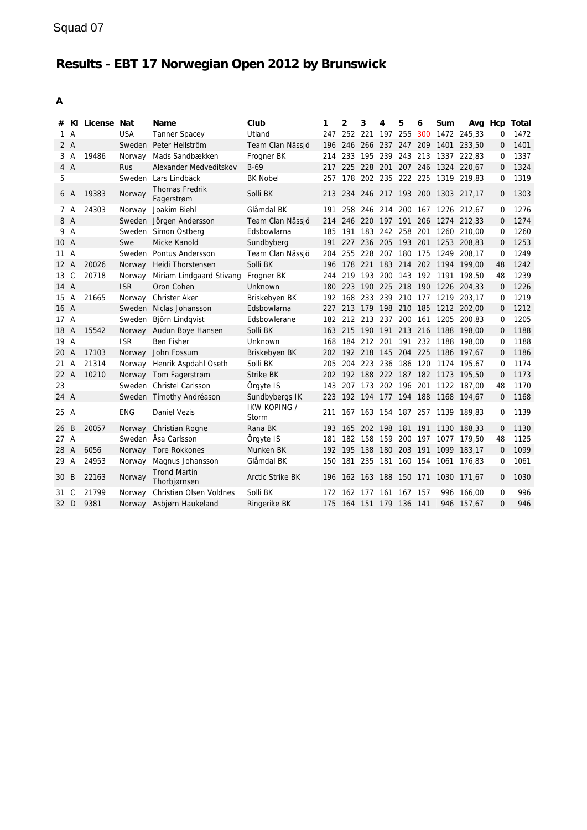| #      |                | KI License Nat |            | Name                                | Club                    | 1   | 2       | 3                   | 4           | 5       | 6   | Sum                      |                                     | Avg Hcp     | Total |
|--------|----------------|----------------|------------|-------------------------------------|-------------------------|-----|---------|---------------------|-------------|---------|-----|--------------------------|-------------------------------------|-------------|-------|
| 1 A    |                |                | <b>USA</b> | <b>Tanner Spacey</b>                | Utland                  |     | 247 252 | 221                 | 197         | 255     | 300 |                          | 1472 245.33                         | $\mathbf 0$ | 1472  |
| 2A     |                |                |            | Sweden Peter Hellström              | Team Clan Nässjö        | 196 | 246     | 266 237 247 209     |             |         |     | 1401                     | 233.50                              | 0           | 1401  |
|        | 3 A            | 19486          |            | Norway Mads Sandbækken              | Frogner BK              | 214 | 233     | 195 239 243 213     |             |         |     |                          | 1337 222,83                         | 0           | 1337  |
| 4A     |                |                | Rus        | Alexander Medveditskov              | $B-69$                  |     |         |                     |             |         |     |                          | 217 225 228 201 207 246 1324 220,67 | 0           | 1324  |
| 5      |                |                |            | Sweden Lars Lindbäck                | <b>BK Nobel</b>         | 257 |         |                     |             |         |     |                          | 178 202 235 222 225 1319 219,83     | 0           | 1319  |
| 6 A    |                | 19383          | Norway     | <b>Thomas Fredrik</b><br>Fagerstrøm | Solli BK                |     |         |                     |             |         |     |                          | 213 234 246 217 193 200 1303 217,17 | $\Omega$    | 1303  |
| 7 A    |                | 24303          |            | Norway Joakim Biehl                 | Glåmdal BK              | 191 |         |                     |             |         |     |                          | 258 246 214 200 167 1276 212,67     | $\mathbf 0$ | 1276  |
| 8 A    |                |                |            | Sweden Jörgen Andersson             | Team Clan Nässjö        | 214 |         |                     |             |         |     |                          | 246 220 197 191 206 1274 212,33     | $\Omega$    | 1274  |
| 9 A    |                |                |            | Sweden Simon Östberg                | Edsbowlarna             | 185 | 191     | 183 242 258 201     |             |         |     |                          | 1260 210.00                         | $\Omega$    | 1260  |
| 10 A   |                |                | Swe        | Micke Kanold                        | Sundbyberg              | 191 | 227     |                     |             |         |     |                          | 236 205 193 201 1253 208,83         | $\mathbf 0$ | 1253  |
| 11A    |                |                |            | Sweden Pontus Andersson             | Team Clan Nässjö        | 204 |         |                     |             |         |     |                          | 255 228 207 180 175 1249 208,17     | $\Omega$    | 1249  |
| 12 A   |                | 20026          | Norway     | Heidi Thorstensen                   | Solli BK                | 196 |         |                     |             |         |     |                          | 178 221 183 214 202 1194 199.00     | 48          | 1242  |
| 13 C   |                | 20718          | Norway     | Miriam Lindgaard Stivang            | Frogner BK              | 244 |         |                     |             |         |     |                          | 219 193 200 143 192 1191 198,50     | 48          | 1239  |
| 14 A   |                |                | <b>ISR</b> | Oron Cohen                          | Unknown                 | 180 |         |                     |             |         |     |                          | 223 190 225 218 190 1226 204,33     | $\Omega$    | 1226  |
| 15     | $\overline{A}$ | 21665          | Norway     | <b>Christer Aker</b>                | Briskebyen BK           | 192 | 168     | 233 239 210 177     |             |         |     |                          | 1219 203.17                         | $\Omega$    | 1219  |
| 16 A   |                |                |            | Sweden Niclas Johansson             | Edsbowlarna             | 227 |         |                     |             |         |     |                          | 213 179 198 210 185 1212 202,00     | $\mathbf 0$ | 1212  |
| 17 A   |                |                |            | Sweden Björn Lindqvist              | Edsbowlerane            | 182 |         |                     |             |         |     |                          | 212 213 237 200 161 1205 200.83     | 0           | 1205  |
| 18 A   |                | 15542          |            | Norway Audun Boye Hansen            | Solli BK                | 163 |         |                     |             |         |     |                          | 215 190 191 213 216 1188 198,00     | $\Omega$    | 1188  |
| 19 A   |                |                | <b>ISR</b> | <b>Ben Fisher</b>                   | Unknown                 | 168 |         |                     |             |         |     | 184 212 201 191 232 1188 | 198,00                              | 0           | 1188  |
| 20 A   |                | 17103          | Norway     | John Fossum                         | Briskebyen BK           | 202 |         |                     |             |         |     |                          | 192 218 145 204 225 1186 197,67     | 0           | 1186  |
| $21$ A |                | 21314          |            | Norway Henrik Aspdahl Oseth         | Solli BK                | 205 |         |                     |             |         |     |                          | 204 223 236 186 120 1174 195.67     | $\Omega$    | 1174  |
| 22 A   |                | 10210          |            | Norway Tom Fagerstrøm               | <b>Strike BK</b>        | 202 |         |                     |             |         |     |                          | 192 188 222 187 182 1173 195,50     | $\Omega$    | 1173  |
| 23     |                |                |            | Sweden Christel Carlsson            | Örgyte IS               | 143 |         | 207 173 202 196 201 |             |         |     |                          | 1122 187.00                         | 48          | 1170  |
| 24 A   |                |                |            | Sweden Timothy Andréason            | Sundbybergs IK          |     |         |                     |             |         |     |                          | 223 192 194 177 194 188 1168 194,67 | $\Omega$    | 1168  |
| 25 A   |                |                | <b>ENG</b> | <b>Daniel Vezis</b>                 | IKW KOPING /<br>Storm   |     |         |                     |             |         |     |                          | 211 167 163 154 187 257 1139 189,83 | 0           | 1139  |
| 26 B   |                | 20057          | Norway     | Christian Rogne                     | Rana BK                 | 193 |         | 165 202 198         |             | 181 191 |     |                          | 1130 188,33                         | $\mathbf 0$ | 1130  |
| 27 A   |                |                |            | Sweden Äsa Carlsson                 | Örgyte IS               | 181 | 182     | 158                 | 159         | 200 197 |     |                          | 1077 179.50                         | 48          | 1125  |
| 28 A   |                | 6056           | Norway     | <b>Tore Rokkones</b>                | Munken BK               | 192 | 195     | 138                 | 180         | 203     | 191 |                          | 1099 183.17                         | $\Omega$    | 1099  |
| 29 A   |                | 24953          | Norway     | Magnus Johansson                    | Glåmdal BK              | 150 | 181     | 235                 | 181 160 154 |         |     |                          | 1061 176,83                         | 0           | 1061  |
| 30 B   |                | 22163          | Norway     | <b>Trond Martin</b><br>Thorbjørnsen | <b>Arctic Strike BK</b> | 196 | 162 163 |                     | 188 150 171 |         |     |                          | 1030 171,67                         | $\mathbf 0$ | 1030  |
| 31     | $\mathcal{C}$  | 21799          | Norway     | Christian Olsen Voldnes             | Solli BK                | 172 | 162     | 177                 | 161         | 167     | 157 | 996                      | 166.00                              | 0           | 996   |
| 32 D   |                | 9381           |            | Norway Asbiørn Haukeland            | Ringerike BK            | 175 |         | 164 151 179 136 141 |             |         |     |                          | 946 157.67                          | $\Omega$    | 946   |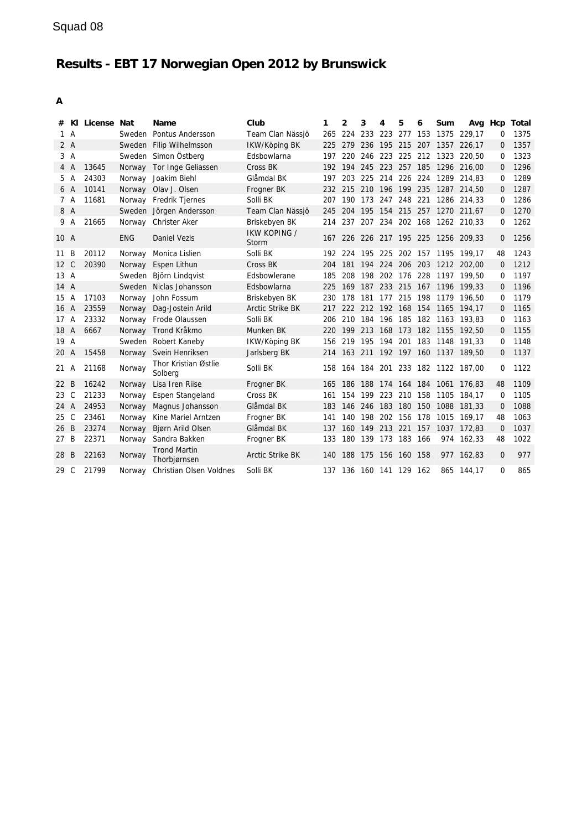| #    |              | KI License Nat |            | Name                                | Club                    | 1   | 2   | 3                       | 4 | 5           | 6 | Sum  |                                     |              | Avg Hcp Total |
|------|--------------|----------------|------------|-------------------------------------|-------------------------|-----|-----|-------------------------|---|-------------|---|------|-------------------------------------|--------------|---------------|
|      | 1 A          |                |            | Sweden Pontus Andersson             | Team Clan Nässjö        | 265 |     | 224 233 223 277 153     |   |             |   |      | 1375 229.17                         | 0            | 1375          |
|      | 2A           |                |            | Sweden Filip Wilhelmsson            | IKW/Köping BK           |     |     |                         |   |             |   |      | 225 279 236 195 215 207 1357 226,17 | 0            | 1357          |
|      | 3A           |                |            | Sweden Simon Östberg                | Edsbowlarna             | 197 |     |                         |   |             |   |      | 220 246 223 225 212 1323 220,50     | 0            | 1323          |
|      | 4 A          | 13645          |            | Norway Tor Inge Geliassen           | Cross BK                |     |     |                         |   |             |   |      | 192 194 245 223 257 185 1296 216.00 | 0            | 1296          |
| 5    | A            | 24303          |            | Norway Joakim Biehl                 | Glåmdal BK              | 197 |     |                         |   |             |   |      | 203 225 214 226 224 1289 214.83     | $\Omega$     | 1289          |
|      | 6 A          | 10141          |            | Norway Olav J. Olsen                | Frogner BK              |     |     |                         |   |             |   |      | 232 215 210 196 199 235 1287 214,50 | 0            | 1287          |
|      | 7 A          | 11681          |            | Norway Fredrik Tjernes              | Solli BK                | 207 | 190 | 173 247 248 221         |   |             |   |      | 1286 214.33                         | $\Omega$     | 1286          |
| 8 A  |              |                |            | Sweden Jörgen Andersson             | Team Clan Nässjö        | 245 |     |                         |   |             |   |      | 204 195 154 215 257 1270 211,67     | 0            | 1270          |
| 9    | A            | 21665          |            | Norway Christer Aker                | Briskebyen BK           |     |     |                         |   |             |   |      | 214 237 207 234 202 168 1262 210,33 | $\Omega$     | 1262          |
| 10 A |              |                | <b>ENG</b> | Daniel Vezis                        | IKW KOPING /<br>Storm   |     |     |                         |   |             |   |      | 167 226 226 217 195 225 1256 209,33 | $\mathbf{0}$ | 1256          |
| 11   | B            | 20112          |            | Norway Monica Lislien               | Solli BK                |     |     |                         |   |             |   |      | 192 224 195 225 202 157 1195 199,17 | 48           | 1243          |
| 12 C |              | 20390          |            | Norway Espen Lithun                 | Cross BK                | 204 |     |                         |   |             |   |      | 181 194 224 206 203 1212 202,00     | $\mathbf 0$  | 1212          |
| 13A  |              |                |            | Sweden Björn Lindqvist              | Edsbowlerane            | 185 | 208 |                         |   |             |   |      | 198 202 176 228 1197 199.50         | 0            | 1197          |
| 14 A |              |                |            | Sweden Niclas Johansson             | Edsbowlarna             | 225 |     |                         |   |             |   |      | 169 187 233 215 167 1196 199,33     | $\Omega$     | 1196          |
| 15 A |              | 17103          |            | Norway John Fossum                  | Briskebyen BK           | 230 |     |                         |   |             |   |      | 178 181 177 215 198 1179 196,50     | $\Omega$     | 1179          |
| 16 A |              | 23559          | Norway     | Dag-Jostein Arild                   | <b>Arctic Strike BK</b> | 217 |     |                         |   |             |   |      | 222 212 192 168 154 1165 194,17     | 0            | 1165          |
| 17A  |              | 23332          |            | Norway Frode Olaussen               | Solli BK                | 206 |     |                         |   |             |   |      | 210 184 196 185 182 1163 193.83     | 0            | 1163          |
| 18 A |              | 6667           |            | Norway Trond Kråkmo                 | Munken BK               | 220 |     |                         |   |             |   |      | 199 213 168 173 182 1155 192,50     | 0            | 1155          |
| 19 A |              |                |            | Sweden Robert Kaneby                | IKW/Köping BK           | 156 |     |                         |   |             |   |      | 219 195 194 201 183 1148 191.33     | 0            | 1148          |
| 20 A |              | 15458          | Norway     | Svein Henriksen                     | Jarlsberg BK            |     |     |                         |   |             |   |      | 214 163 211 192 197 160 1137 189,50 | 0            | 1137          |
| 21 A |              | 21168          | Norway     | Thor Kristian Østlie<br>Solberg     | Solli BK                | 158 |     |                         |   |             |   |      | 164 184 201 233 182 1122 187,00     | $\Omega$     | 1122          |
| 22 B |              | 16242          | Norway     | Lisa Iren Riise                     | Frogner BK              | 165 |     |                         |   |             |   |      | 186 188 174 164 184 1061 176,83     | 48           | 1109          |
| 23   | C            | 21233          | Norway     | Espen Stangeland                    | Cross BK                | 161 |     | 154 199 223 210 158     |   |             |   | 1105 | 184.17                              | 0            | 1105          |
| 24 A |              | 24953          | Norway     | Magnus Johansson                    | Glåmdal BK              | 183 |     |                         |   |             |   |      | 146 246 183 180 150 1088 181.33     | 0            | 1088          |
| 25   | $\mathsf{C}$ | 23461          | Norway     | Kine Mariel Arntzen                 | Frogner BK              | 141 | 140 | 198                     |   | 202 156 178 |   | 1015 | 169.17                              | 48           | 1063          |
| 26 B |              | 23274          | Norway     | Bjørn Arild Olsen                   | Glåmdal BK              | 137 |     |                         |   |             |   |      | 160 149 213 221 157 1037 172.83     | $\Omega$     | 1037          |
| 27 B |              | 22371          | Norway     | Sandra Bakken                       | Frogner BK              | 133 |     | 180 139 173 183 166     |   |             |   |      | 974 162,33                          | 48           | 1022          |
| 28 B |              | 22163          | Norway     | <b>Trond Martin</b><br>Thorbjørnsen | <b>Arctic Strike BK</b> |     |     | 140 188 175 156 160 158 |   |             |   |      | 977 162.83                          | $\mathbf{0}$ | 977           |
| 29 C |              | 21799          | Norway     | Christian Olsen Voldnes             | Solli BK                |     |     | 137 136 160 141 129 162 |   |             |   |      | 865 144.17                          | $\Omega$     | 865           |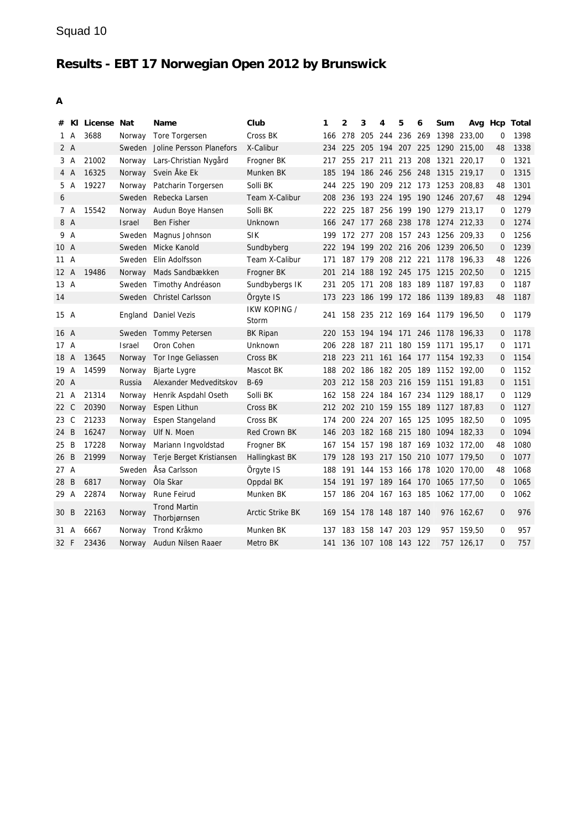|                |              | # KI License Nat |               | Name                                | Club                    | 1   | $\mathbf{2}$            | 3       | 4           | 5   | 6   | Sum                      |                                     | Avg Hcp      | Total |
|----------------|--------------|------------------|---------------|-------------------------------------|-------------------------|-----|-------------------------|---------|-------------|-----|-----|--------------------------|-------------------------------------|--------------|-------|
| 1              | A            | 3688             |               | Norway Tore Torgersen               | Cross BK                | 166 | 278                     | 205     | 244 236 269 |     |     |                          | 1398 233.00                         | 0            | 1398  |
|                | 2 A          |                  |               | Sweden Joline Persson Planefors     | X-Calibur               | 234 | 225                     | 205     |             |     |     |                          | 194 207 225 1290 215,00             | 48           | 1338  |
|                | 3 A          | 21002            |               | Norway Lars-Christian Nygård        | Frogner BK              | 217 |                         |         |             |     |     | 255 217 211 213 208 1321 | 220,17                              | 0            | 1321  |
|                | 4 A          | 16325            |               | Norway Svein Åke Ek                 | Munken BK               | 185 |                         |         |             |     |     |                          | 194 186 246 256 248 1315 219,17     | $\mathbf 0$  | 1315  |
|                | 5 A          | 19227            |               | Norway Patcharin Torgersen          | Solli BK                | 244 | 225                     |         |             |     |     |                          | 190 209 212 173 1253 208,83         | 48           | 1301  |
| 6              |              |                  |               | Sweden Rebecka Larsen               | Team X-Calibur          | 208 |                         |         |             |     |     |                          | 236 193 224 195 190 1246 207,67     | 48           | 1294  |
|                | 7 A          | 15542            | Norway        | Audun Boye Hansen                   | Solli BK                | 222 | 225                     |         |             |     |     |                          | 187 256 199 190 1279 213,17         | 0            | 1279  |
|                | 8 A          |                  | <b>Israel</b> | Ben Fisher                          | Unknown                 | 166 |                         |         |             |     |     |                          | 247 177 268 238 178 1274 212,33     | $\mathbf 0$  | 1274  |
|                | 9 A          |                  | Sweden        | Magnus Johnson                      | <b>SIK</b>              | 199 |                         | 172 277 |             |     |     |                          | 208 157 243 1256 209,33             | 0            | 1256  |
| 10 A           |              |                  |               | Sweden Micke Kanold                 | Sundbyberg              | 222 |                         |         |             |     |     |                          | 194 199 202 216 206 1239 206,50     | $\Omega$     | 1239  |
| 11A            |              |                  |               | Sweden Elin Adolfsson               | Team X-Calibur          | 171 |                         | 187 179 |             |     |     |                          | 208 212 221 1178 196,33             | 48           | 1226  |
| $12 \text{ A}$ |              | 19486            | Norway        | Mads Sandbækken                     | Frogner BK              | 201 |                         |         |             |     |     |                          | 214 188 192 245 175 1215 202,50     | $\Omega$     | 1215  |
| $13 \text{ A}$ |              |                  |               | Sweden Timothy Andréason            | Sundbybergs IK          | 231 | 205                     | 171     |             |     |     |                          | 208 183 189 1187 197,83             | $\Omega$     | 1187  |
| 14             |              |                  |               | Sweden Christel Carlsson            | Örgyte IS               | 173 |                         |         |             |     |     |                          | 223 186 199 172 186 1139 189,83     | 48           | 1187  |
| 15 A           |              |                  |               | England Daniel Vezis                | IKW KOPING /<br>Storm   | 241 |                         |         |             |     |     |                          | 158 235 212 169 164 1179 196,50     | $\Omega$     | 1179  |
| 16 A           |              |                  |               | Sweden Tommy Petersen               | <b>BK Ripan</b>         | 220 |                         |         |             |     |     |                          | 153 194 194 171 246 1178 196,33     | 0            | 1178  |
| 17A            |              |                  | <b>Israel</b> | Oron Cohen                          | Unknown                 | 206 |                         |         |             |     |     | 228 187 211 180 159 1171 | 195.17                              | $\Omega$     | 1171  |
| 18 A           |              | 13645            | Norway        | Tor Inge Geliassen                  | Cross BK                |     |                         |         |             |     |     |                          | 218 223 211 161 164 177 1154 192,33 | $\mathbf{0}$ | 1154  |
| 19 A           |              | 14599            | Norway        | <b>Bjarte Lygre</b>                 | Mascot BK               | 188 |                         |         |             |     |     |                          | 202 186 182 205 189 1152 192,00     | 0            | 1152  |
| 20 A           |              |                  | Russia        | Alexander Medveditskov              | $B-69$                  | 203 |                         |         |             |     |     |                          | 212 158 203 216 159 1151 191,83     | 0            | 1151  |
| 21 A           |              | 21314            | Norway        | Henrik Aspdahl Oseth                | Solli BK                |     |                         |         |             |     |     |                          | 162 158 224 184 167 234 1129 188,17 | 0            | 1129  |
| 22             | $\mathsf{C}$ | 20390            | Norway        | Espen Lithun                        | Cross BK                | 212 |                         |         |             |     |     |                          | 202 210 159 155 189 1127 187,83     | $\mathbf 0$  | 1127  |
| 23 C           |              | 21233            | Norway        | Espen Stangeland                    | Cross BK                | 174 | 200                     |         |             |     |     |                          | 224 207 165 125 1095 182,50         | 0            | 1095  |
| 24             | B            | 16247            | Norway        | Ulf N. Moen                         | Red Crown BK            | 146 |                         |         |             |     |     |                          | 203 182 168 215 180 1094 182,33     | 0            | 1094  |
| 25             | B            | 17228            | Norway        | Mariann Ingvoldstad                 | Frogner BK              | 167 |                         |         |             |     |     |                          | 154 157 198 187 169 1032 172,00     | 48           | 1080  |
| 26             | B            | 21999            | Norway        | Terje Berget Kristiansen            | Hallingkast BK          | 179 |                         |         |             |     |     |                          | 128 193 217 150 210 1077 179,50     | $\mathbf 0$  | 1077  |
| 27 A           |              |                  | Sweden        | Åsa Carlsson                        | Örgyte IS               | 188 | 191                     |         |             |     |     |                          | 144 153 166 178 1020 170,00         | 48           | 1068  |
| 28             | B            | 6817             | Norway        | Ola Skar                            | Oppdal BK               | 154 |                         |         |             |     |     |                          | 191 197 189 164 170 1065 177,50     | $\Omega$     | 1065  |
| 29 A           |              | 22874            | Norway        | Rune Feirud                         | Munken BK               | 157 |                         | 186 204 | 167 163 185 |     |     |                          | 1062 177,00                         | 0            | 1062  |
| 30 B           |              | 22163            | Norway        | <b>Trond Martin</b><br>Thorbjørnsen | <b>Arctic Strike BK</b> |     | 169 154 178 148 187 140 |         |             |     |     |                          | 976 162,67                          | $\mathbf 0$  | 976   |
| 31 A           |              | 6667             | Norway        | Trond Kråkmo                        | Munken BK               | 137 | 183                     | 158     | 147         | 203 | 129 |                          | 957 159.50                          | $\mathbf 0$  | 957   |
| 32 F           |              | 23436            | Norway        | Audun Nilsen Raaer                  | Metro BK                |     | 141 136 107 108 143 122 |         |             |     |     |                          | 757 126,17                          | $\Omega$     | 757   |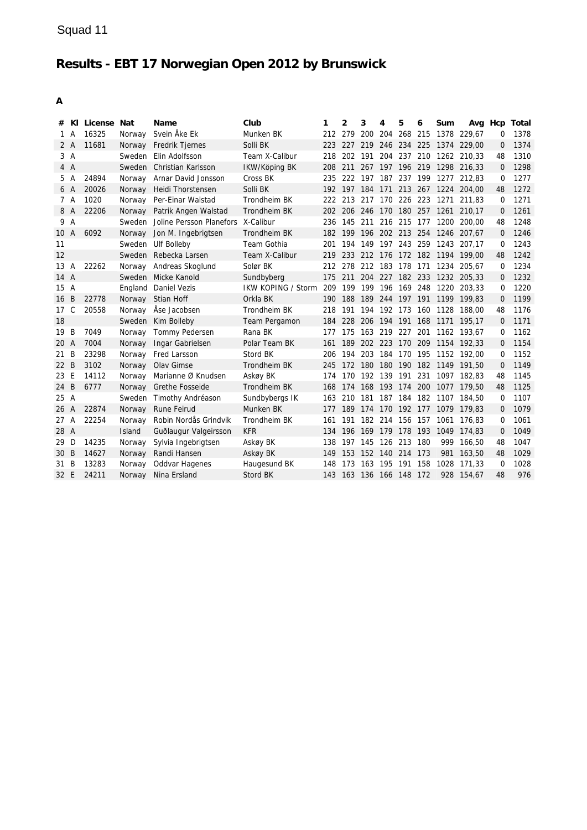| #              |                | KI License Nat |               | Name                                      | Club                      | 1    | 2       | 3                   | 4       | 5               | 6     | Sum                      |                                 |          | Avg Hcp Total |
|----------------|----------------|----------------|---------------|-------------------------------------------|---------------------------|------|---------|---------------------|---------|-----------------|-------|--------------------------|---------------------------------|----------|---------------|
|                | 1 A            | 16325          | Norway        | Svein Åke Ek                              | Munken BK                 |      | 212 279 |                     |         | 200 204 268 215 |       |                          | 1378 229,67                     | 0        | 1378          |
| 2A             |                | 11681          | Norway        | Fredrik Tjernes                           | Solli BK                  | 223. | 227     |                     |         |                 |       |                          | 219 246 234 225 1374 229,00     | 0        | 1374          |
| 3A             |                |                | Sweden        | Elin Adolfsson                            | Team X-Calibur            | 218  | 202     | 191                 |         |                 |       |                          | 204 237 210 1262 210,33         | 48       | 1310          |
| 4A             |                |                |               | Sweden Christian Karlsson                 | IKW/Köping BK             | 208  | 211     |                     |         |                 |       |                          | 267 197 196 219 1298 216,33     | $\Omega$ | 1298          |
| 5.             | A              | 24894          |               | Norway Arnar David Jonsson                | Cross BK                  | 235  | 222     | 197                 |         | 187 237 199     |       | 1277                     | 212.83                          | 0        | 1277          |
| 6 A            |                | 20026          | Norway        | Heidi Thorstensen                         | Solli BK                  | 192  | 197 184 |                     |         |                 |       |                          | 171 213 267 1224 204.00         | 48       | 1272          |
| 7 A            |                | 1020           | Norway        | Per-Einar Walstad                         | Trondheim BK              | 222  |         | 213 217             |         |                 |       | 170 226 223 1271         | 211.83                          | $\Omega$ | 1271          |
| 8 A            |                | 22206          |               | Norway Patrik Angen Walstad               | Trondheim BK              | 202  |         |                     |         |                 |       | 206 246 170 180 257 1261 | 210,17                          | $\Omega$ | 1261          |
| 9 A            |                |                |               | Sweden Joline Persson Planefors X-Calibur |                           | 236  |         |                     |         |                 |       | 145 211 216 215 177 1200 | 200,00                          | 48       | 1248          |
| 10             | $\overline{A}$ | 6092           | Norway        | Jon M. Ingebrigtsen                       | Trondheim BK              | 182  |         |                     |         |                 |       |                          | 199 196 202 213 254 1246 207,67 | $\Omega$ | 1246          |
| 11             |                |                | Sweden        | Ulf Bolleby                               | Team Gothia               | 201  |         | 194 149             |         |                 |       |                          | 197 243 259 1243 207,17         | 0        | 1243          |
| 12             |                |                |               | Sweden Rebecka Larsen                     | Team X-Calibur            | 219  |         |                     |         |                 |       |                          | 233 212 176 172 182 1194 199,00 | 48       | 1242          |
| $13 \text{ A}$ |                | 22262          |               | Norway Andreas Skoglund                   | Solør BK                  | 212  |         | 278 212 183 178 171 |         |                 |       | 1234                     | 205.67                          | 0        | 1234          |
| 14 A           |                |                |               | Sweden Micke Kanold                       | Sundbyberg                | 175  | 211     |                     |         | 204 227 182 233 |       |                          | 1232 205.33                     | 0        | 1232          |
| 15 A           |                |                |               | England Daniel Vezis                      | <b>IKW KOPING / Storm</b> | 209  | 199     | 199                 |         |                 |       |                          | 196 169 248 1220 203,33         | 0        | 1220          |
| 16             | B              | 22778          | Norway        | Stian Hoff                                | Orkla BK                  | 190  | 188     |                     |         |                 |       |                          | 189 244 197 191 1199 199,83     | 0        | 1199          |
| 17             | $\mathsf{C}$   | 20558          |               | Norway Åse Jacobsen                       | Trondheim BK              | 218  | 191     |                     |         |                 |       | 194 192 173 160 1128     | 188.00                          | 48       | 1176          |
| 18             |                |                |               | Sweden Kim Bolleby                        | Team Pergamon             | 184  | 228     | 206                 |         | 194 191 168     |       | 1171                     | 195.17                          | $\Omega$ | 1171          |
| 19             | B              | 7049           | Norway        | Tommy Pedersen                            | Rana BK                   | 177  | 175     | 163                 | 219 227 |                 | 201   |                          | 1162 193.67                     | 0        | 1162          |
| 20 A           |                | 7004           | Norway        | Ingar Gabrielsen                          | Polar Team BK             | 161  | 189     |                     |         |                 |       |                          | 202 223 170 209 1154 192,33     | 0        | 1154          |
| 21 B           |                | 23298          |               | Norway Fred Larsson                       | Stord BK                  | 206  | 194     | 203 184 170 195     |         |                 |       |                          | 1152 192.00                     | 0        | 1152          |
| 22 B           |                | 3102           | Norway        | Olav Gimse                                | Trondheim BK              | 245  | 172 180 |                     |         |                 |       |                          | 180 190 182 1149 191.50         | 0        | 1149          |
| 23 E           |                | 14112          | Norway        | Marianne Ø Knudsen                        | Askøy BK                  | 174  |         | 170 192 139 191 231 |         |                 |       |                          | 1097 182.83                     | 48       | 1145          |
| 24 B           |                | 6777           | Norway        | <b>Grethe Fosseide</b>                    | Trondheim BK              | 168  | 174 168 |                     |         |                 |       |                          | 193 174 200 1077 179,50         | 48       | 1125          |
| 25 A           |                |                | Sweden        | Timothy Andréason                         | Sundbybergs IK            | 163  |         | 210 181             |         | 187 184 182     |       | 1107                     | 184.50                          | 0        | 1107          |
| 26             | A              | 22874          | Norway        | <b>Rune Feirud</b>                        | Munken BK                 | 177  | 189     | 174                 |         | 170 192 177     |       |                          | 1079 179,83                     | 0        | 1079          |
| 27A            |                | 22254          | Norway        | Robin Nordås Grindvik                     | Trondheim BK              | 161  | 191     | 182                 | 214     | 156 157         |       | 1061                     | 176.83                          | 0        | 1061          |
| 28 A           |                |                | <b>Island</b> | Guðlaugur Valgeirsson                     | <b>KFR</b>                | 134  | 196     | -169                | 179     | 178             | 193   | 1049                     | 174.83                          | $\Omega$ | 1049          |
| 29 D           |                | 14235          | Norway        | Sylvia Ingebrigtsen                       | Askøy BK                  | 138  | 197     | 145                 | 126 213 |                 | 180   | 999                      | 166.50                          | 48       | 1047          |
| 30 B           |                | 14627          | Norway        | Randi Hansen                              | Askøy BK                  | 149  | 153     | 152                 | 140 214 |                 | 173   | 981                      | 163,50                          | 48       | 1029          |
| 31 B           |                | 13283          | Norway        | <b>Oddvar Hagenes</b>                     | Haugesund BK              | 148  | 173     | 163                 | 195     | 191             | 158   | 1028                     | 171.33                          | $\Omega$ | 1028          |
| 32 E           |                | 24211          | Norway        | Nina Ersland                              | Stord BK                  | 143  | 163 136 |                     | 166 148 |                 | - 172 | 928                      | 154,67                          | 48       | 976           |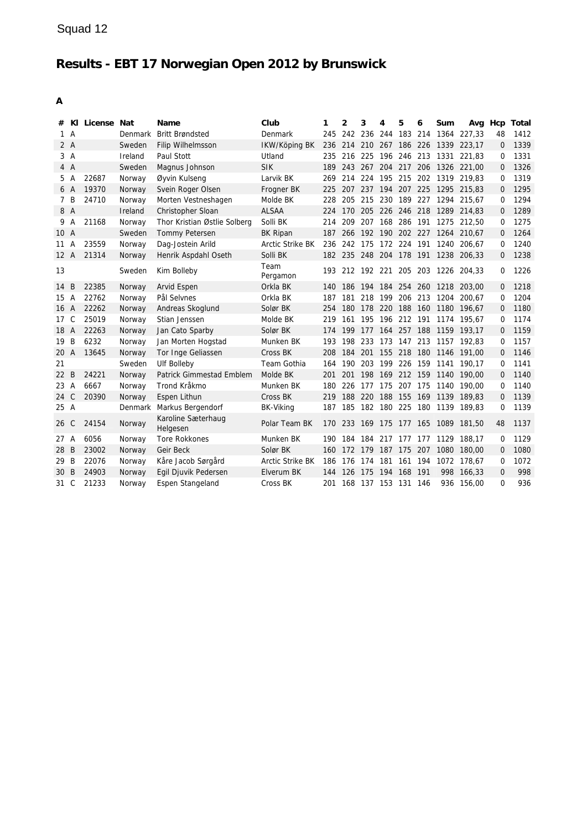| #              |                | KI License Nat |         | Name                           | Club                    | 1   | $\mathbf{2}$ | 3                       | 4           | 5           | 6   | Sum      |                                     |                | Avg Hcp Total |
|----------------|----------------|----------------|---------|--------------------------------|-------------------------|-----|--------------|-------------------------|-------------|-------------|-----|----------|-------------------------------------|----------------|---------------|
| $\mathbf{1}$   | $\overline{A}$ |                | Denmark | <b>Britt Brøndsted</b>         | Denmark                 | 245 |              | 242 236 244 183 214     |             |             |     | 1364     | 227.33                              | 48             | 1412          |
|                | 2A             |                | Sweden  | Filip Wilhelmsson              | IKW/Köping BK           | 236 |              |                         |             |             |     |          | 214 210 267 186 226 1339 223,17     | $\mathbf 0$    | 1339          |
|                | 3A             |                | Ireland | Paul Stott                     | Utland                  | 235 |              | 216 225                 | 196 246 213 |             |     | 1331     | 221.83                              | 0              | 1331          |
|                | 4 A            |                | Sweden  | Magnus Johnson                 | <b>SIK</b>              | 189 | 243 267      |                         |             | 204 217 206 |     |          | 1326 221,00                         | $\Omega$       | 1326          |
| 5              | A              | 22687          | Norway  | Øyvin Kulseng                  | Larvik BK               | 269 | 214          | 224                     | 195         | 215         |     | 202 1319 | 219,83                              | 0              | 1319          |
| 6 A            |                | 19370          | Norway  | Svein Roger Olsen              | Frogner BK              | 225 |              |                         |             |             |     |          | 207 237 194 207 225 1295 215,83     | $\Omega$       | 1295          |
| $\overline{7}$ | B              | 24710          | Norway  | Morten Vestneshagen            | Molde BK                | 228 |              | 205 215                 |             | 230 189 227 |     | 1294     | 215.67                              | 0              | 1294          |
| 8 A            |                |                | Ireland | Christopher Sloan              | <b>ALSAA</b>            | 224 |              |                         |             |             |     |          | 170 205 226 246 218 1289 214,83     | 0              | 1289          |
| 9              | A              | 21168          | Norway  | Thor Kristian Østlie Solberg   | Solli BK                | 214 | 209          | 207                     | 168         | 286 191     |     |          | 1275 212.50                         | $\Omega$       | 1275          |
| 10 A           |                |                | Sweden  | <b>Tommy Petersen</b>          | BK Ripan                | 187 |              |                         |             |             |     |          | 266 192 190 202 227 1264 210,67     | $\mathbf{0}$   | 1264          |
| 11             | A              | 23559          | Norway  | Dag-Jostein Arild              | <b>Arctic Strike BK</b> | 236 |              | 242 175                 | 172 224 191 |             |     | 1240     | 206.67                              | 0              | 1240          |
| 12A            |                | 21314          | Norway  | Henrik Aspdahl Oseth           | Solli BK                |     |              | 182 235 248 204 178 191 |             |             |     |          | 1238 206,33                         | $\Omega$       | 1238          |
| 13             |                |                | Sweden  | Kim Bolleby                    | Team<br>Pergamon        |     |              |                         |             |             |     |          | 193 212 192 221 205 203 1226 204,33 | $\Omega$       | 1226          |
| 14             | B              | 22385          | Norway  | Arvid Espen                    | Orkla BK                | 140 |              |                         |             |             |     |          | 186 194 184 254 260 1218 203,00     | 0              | 1218          |
| 15             | $\overline{A}$ | 22762          | Norway  | Pål Selvnes                    | Orkla BK                | 187 | 181          | 218                     | 199         | 206         | 213 | 1204     | 200.67                              | 0              | 1204          |
| 16 A           |                | 22262          | Norway  | Andreas Skoglund               | Solør BK                | 254 |              |                         |             |             |     |          | 180 178 220 188 160 1180 196,67     | $\Omega$       | 1180          |
| 17             | C              | 25019          | Norway  | Stian Jenssen                  | Molde BK                | 219 | 161          | 195 196 212 191         |             |             |     |          | 1174 195.67                         | 0              | 1174          |
| 18 A           |                | 22263          | Norway  | Jan Cato Sparby                | Solør BK                | 174 |              |                         |             |             |     |          | 199 177 164 257 188 1159 193.17     | 0              | 1159          |
| 19             | B              | 6232           | Norway  | Jan Morten Hogstad             | Munken BK               | 193 |              | 198 233                 |             |             |     |          | 173 147 213 1157 192,83             | 0              | 1157          |
| 20 A           |                | 13645          | Norway  | Tor Inge Geliassen             | Cross BK                | 208 | 184          | 201                     |             | 155 218 180 |     |          | 1146 191,00                         | $\overline{0}$ | 1146          |
| 21             |                |                | Sweden  | <b>Ulf Bolleby</b>             | Team Gothia             | 164 | 190          | 203                     | 199         | 226 159     |     | 1141     | 190.17                              | $\Omega$       | 1141          |
| 22             | B              | 24221          | Norway  | Patrick Gimmestad Emblem       | Molde BK                | 201 | 201          | 198                     |             |             |     |          | 169 212 159 1140 190,00             | $\overline{0}$ | 1140          |
| 23             | $\overline{A}$ | 6667           | Norway  | Trond Kråkmo                   | Munken BK               | 180 | 226          | 177                     | 175         | 207 175     |     | 1140     | 190,00                              | 0              | 1140          |
| 24             | $\mathsf{C}$   | 20390          | Norway  | Espen Lithun                   | Cross BK                | 219 |              | 188 220                 |             |             |     |          | 188 155 169 1139 189.83             | 0              | 1139          |
| 25 A           |                |                | Denmark | Markus Bergendorf              | <b>BK-Viking</b>        | 187 | 185          | 182                     | 180 225     |             | 180 | 1139     | 189.83                              | 0              | 1139          |
| 26 C           |                | 24154          | Norway  | Karoline Sæterhaug<br>Helgesen | Polar Team BK           | 170 | 233          | 169                     | 175 177 165 |             |     |          | 1089 181,50                         | 48             | 1137          |
| 27A            |                | 6056           | Norway  | <b>Tore Rokkones</b>           | Munken BK               | 190 | 184          | 184                     | 217         | 177         | 177 | 1129     | 188,17                              | $\mathbf 0$    | 1129          |
| 28             | <sub>B</sub>   | 23002          | Norway  | Geir Beck                      | Solør BK                | 160 | 172          | 179                     | 187         | 175         | 207 | 1080     | 180,00                              | $\Omega$       | 1080          |
| 29             | B              | 22076          | Norway  | Kåre Jacob Sørgård             | Arctic Strike BK        | 186 | 176          | 174                     | 181         | 161         | 194 | 1072     | 178.67                              | $\Omega$       | 1072          |
| 30             | $\overline{B}$ | 24903          | Norway  | Egil Djuvik Pedersen           | Elverum BK              | 144 | 126          | 175                     | 194         | 168         | 191 | 998      | 166,33                              | $\mathbf{0}$   | 998           |
| 31             | C              | 21233          | Norway  | Espen Stangeland               | Cross BK                | 201 | 168          | 137                     | 153         | 131         | 146 | 936      | 156,00                              | $\Omega$       | 936           |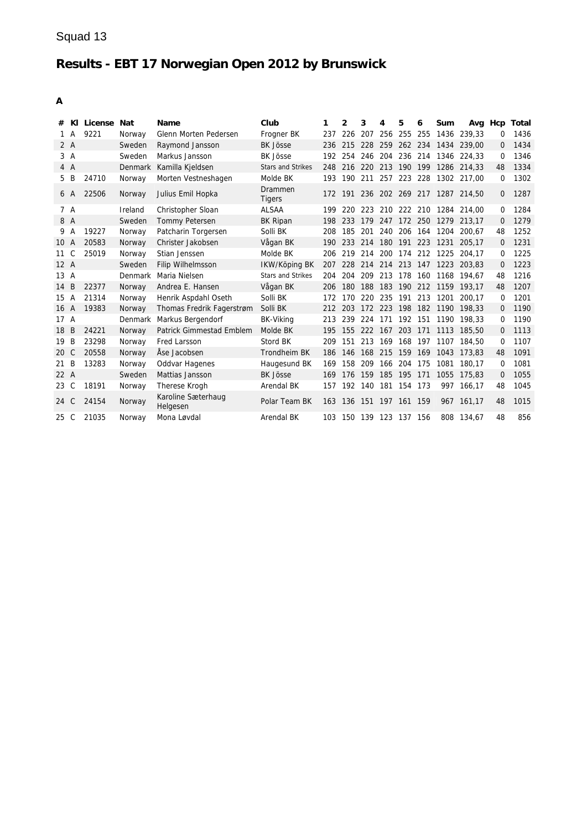|                |                | # KI License | Nat     | <b>Name</b>                     | Club                     | 1   | 2   | 3       | 4                   | 5           | 6     | Sum                      |                                     | Avg Hcp      | Total |
|----------------|----------------|--------------|---------|---------------------------------|--------------------------|-----|-----|---------|---------------------|-------------|-------|--------------------------|-------------------------------------|--------------|-------|
| 1              | A              | 9221         | Norway  | Glenn Morten Pedersen           | Frogner BK               | 237 | 226 | 207     |                     | 256 255 255 |       | 1436                     | 239.33                              | 0            | 1436  |
| 2A             |                |              | Sweden  | Raymond Jansson                 | <b>BK Jösse</b>          | 236 | 215 |         | 228 259 262 234     |             |       |                          | 1434 239.00                         | $\Omega$     | 1434  |
| 3A             |                |              | Sweden  | Markus Jansson                  | <b>BK Jösse</b>          | 192 | 254 |         |                     |             |       |                          | 246 204 236 214 1346 224,33         | 0            | 1346  |
| 4A             |                |              | Denmark | Kamilla Kjeldsen                | <b>Stars and Strikes</b> | 248 |     | 216 220 |                     |             |       |                          | 213 190 199 1286 214.33             | 48           | 1334  |
| 5 B            |                | 24710        | Norway  | Morten Vestneshagen             | Molde BK                 | 193 |     | 190 211 |                     | 257 223 228 |       |                          | 1302 217.00                         | 0            | 1302  |
| 6 A            |                | 22506        | Norway  | Julius Emil Hopka               | Drammen<br><b>Tigers</b> |     |     |         |                     |             |       |                          | 172 191 236 202 269 217 1287 214,50 | $\Omega$     | 1287  |
|                | 7 A            |              | Ireland | Christopher Sloan               | <b>ALSAA</b>             | 199 | 220 | 223     |                     |             |       |                          | 210 222 210 1284 214,00             | 0            | 1284  |
| 8 A            |                |              | Sweden  | <b>Tommy Petersen</b>           | BK Ripan                 | 198 | 233 |         |                     |             |       |                          | 179 247 172 250 1279 213,17         | 0            | 1279  |
| 9              | A              | 19227        | Norway  | Patcharin Torgersen             | Solli BK                 | 208 | 185 | 201     | 240                 |             |       | 206 164 1204             | 200.67                              | 48           | 1252  |
| 10             | $\overline{A}$ | 20583        | Norway  | Christer Jakobsen               | Vågan BK                 | 190 |     |         |                     |             |       | 233 214 180 191 223 1231 | 205.17                              | $\Omega$     | 1231  |
| 11             | C              | 25019        | Norway  | Stian Jenssen                   | Molde BK                 | 206 | 219 | 214     |                     |             |       | 200 174 212 1225         | 204.17                              | 0            | 1225  |
| 12A            |                |              | Sweden  | Filip Wilhelmsson               | IKW/Köping BK            | 207 |     |         |                     |             |       |                          | 228 214 214 213 147 1223 203,83     | 0            | 1223  |
| $13 \text{ A}$ |                |              | Denmark | Maria Nielsen                   | <b>Stars and Strikes</b> | 204 | 204 | 209     |                     |             |       |                          | 213 178 160 1168 194.67             | 48           | 1216  |
| 14             | B              | 22377        | Norway  | Andrea E. Hansen                | Vågan BK                 | 206 | 180 |         |                     |             |       |                          | 188 183 190 212 1159 193,17         | 48           | 1207  |
| 15 A           |                | 21314        | Norway  | Henrik Aspdahl Oseth            | Solli BK                 | 172 | 170 | 220     |                     |             |       | 235 191 213 1201         | 200.17                              | 0            | 1201  |
| 16 A           |                | 19383        | Norway  | Thomas Fredrik Fagerstrøm       | Solli BK                 | 212 | 203 |         |                     |             |       |                          | 172 223 198 182 1190 198.33         | $\mathbf{0}$ | 1190  |
| 17A            |                |              | Denmark | Markus Bergendorf               | <b>BK-Viking</b>         | 213 | 239 |         | 224 171 192 151     |             |       |                          | 1190 198.33                         | 0            | 1190  |
| 18             | B              | 24221        | Norway  | <b>Patrick Gimmestad Emblem</b> | Molde BK                 | 195 |     |         | 155 222 167 203 171 |             |       |                          | 1113 185.50                         | 0            | 1113  |
| 19             | B              | 23298        | Norway  | <b>Fred Larsson</b>             | Stord BK                 | 209 | 151 |         |                     |             |       |                          | 213 169 168 197 1107 184,50         | 0            | 1107  |
| 20             | C              | 20558        | Norway  | Åse Jacobsen                    | Trondheim BK             | 186 | 146 |         |                     |             |       |                          | 168 215 159 169 1043 173,83         | 48           | 1091  |
| 21             | B              | 13283        | Norway  | <b>Oddvar Hagenes</b>           | Haugesund BK             | 169 | 158 | 209     | 166 204             |             | 175   | 1081                     | 180.17                              | 0            | 1081  |
| 22A            |                |              | Sweden  | Mattias Jansson                 | <b>BK Jösse</b>          | 169 | 176 | 159     | 185                 | 195         | 171   | 1055                     | 175.83                              | $\Omega$     | 1055  |
| 23             | C              | 18191        | Norway  | Therese Krogh                   | Arendal BK               | 157 | 192 | 140     |                     | 181 154     | - 173 | 997                      | 166.17                              | 48           | 1045  |
| 24             | C              | 24154        | Norway  | Karoline Sæterhaug<br>Helgesen  | Polar Team BK            | 163 |     |         | 136 151 197 161     |             | 159   |                          | 967 161.17                          | 48           | 1015  |
| 25 C           |                | 21035        | Norway  | Mona Løvdal                     | <b>Arendal BK</b>        | 103 | 150 |         | 139 123             | 137         | 156   | 808                      | 134.67                              | 48           | 856   |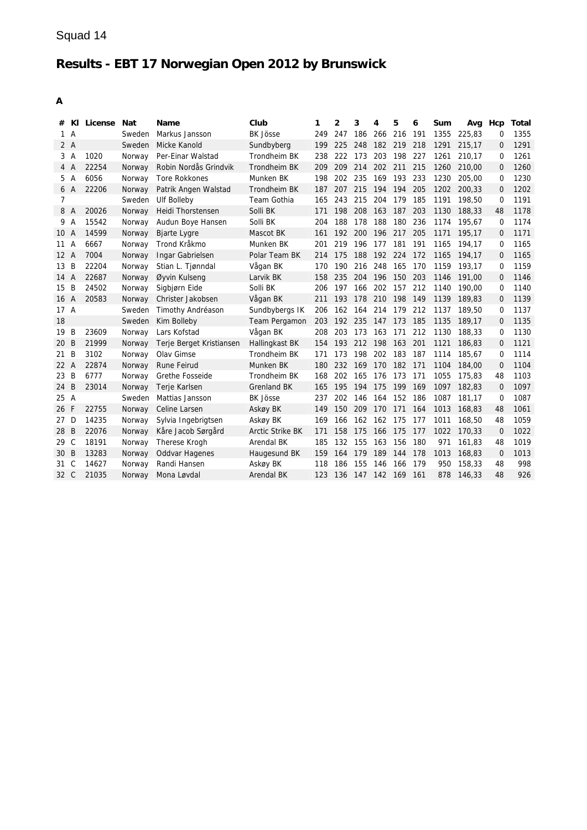## Squad 14

# **Results - EBT 17 Norwegian Open 2012 by Brunswick**

| #              | KI             | License | <b>Nat</b> | Name                     | Club                    | 1   | 2   | 3   | 4   | 5   | 6   | Sum  | Avg    | Hcp         | Total |
|----------------|----------------|---------|------------|--------------------------|-------------------------|-----|-----|-----|-----|-----|-----|------|--------|-------------|-------|
| $\mathbf{1}$   | A              |         | Sweden     | Markus Jansson           | <b>BK Jösse</b>         | 249 | 247 | 186 | 266 | 216 | 191 | 1355 | 225,83 | 0           | 1355  |
|                | 2A             |         | Sweden     | Micke Kanold             | Sundbyberg              | 199 | 225 | 248 | 182 | 219 | 218 | 1291 | 215.17 | 0           | 1291  |
| 3              | $\overline{A}$ | 1020    | Norway     | Per-Einar Walstad        | Trondheim BK            | 238 | 222 | 173 | 203 | 198 | 227 | 1261 | 210,17 | 0           | 1261  |
|                | 4 A            | 22254   | Norway     | Robin Nordås Grindvik    | Trondheim BK            | 209 | 209 | 214 | 202 | 211 | 215 | 1260 | 210.00 | $\Omega$    | 1260  |
| 5              | Α              | 6056    | Norway     | <b>Tore Rokkones</b>     | Munken BK               | 198 | 202 | 235 | 169 | 193 | 233 | 1230 | 205,00 | 0           | 1230  |
|                | 6 A            | 22206   | Norway     | Patrik Angen Walstad     | Trondheim BK            | 187 | 207 | 215 | 194 | 194 | 205 | 1202 | 200,33 | $\Omega$    | 1202  |
| $\overline{7}$ |                |         | Sweden     | <b>Ulf Bolleby</b>       | Team Gothia             | 165 | 243 | 215 | 204 | 179 | 185 | 1191 | 198,50 | $\Omega$    | 1191  |
| 8              | A              | 20026   | Norway     | Heidi Thorstensen        | Solli BK                | 171 | 198 | 208 | 163 | 187 | 203 | 1130 | 188,33 | 48          | 1178  |
| 9              | A              | 15542   | Norway     | Audun Boye Hansen        | Solli BK                | 204 | 188 | 178 | 188 | 180 | 236 | 1174 | 195.67 | 0           | 1174  |
| 10 A           |                | 14599   | Norway     | <b>Bjarte Lygre</b>      | Mascot BK               | 161 | 192 | 200 | 196 | 217 | 205 | 1171 | 195,17 | $\Omega$    | 1171  |
| 11             | Α              | 6667    | Norway     | Trond Kråkmo             | Munken BK               | 201 | 219 | 196 | 177 | 181 | 191 | 1165 | 194,17 | 0           | 1165  |
| 12A            |                | 7004    | Norway     | Ingar Gabrielsen         | Polar Team BK           | 214 | 175 | 188 | 192 | 224 | 172 | 1165 | 194,17 | 0           | 1165  |
| 13             | B              | 22204   | Norway     | Stian L. Tiønndal        | Vågan BK                | 170 | 190 | 216 | 248 | 165 | 170 | 1159 | 193,17 | 0           | 1159  |
| 14 A           |                | 22687   | Norway     | Øyvin Kulseng            | Larvik BK               | 158 | 235 | 204 | 196 | 150 | 203 | 1146 | 191.00 | 0           | 1146  |
| 15             | B              | 24502   | Norway     | Sigbjørn Eide            | Solli BK                | 206 | 197 | 166 | 202 | 157 | 212 | 1140 | 190.00 | 0           | 1140  |
| 16             | A              | 20583   | Norway     | Christer Jakobsen        | Vågan BK                | 211 | 193 | 178 | 210 | 198 | 149 | 1139 | 189.83 | $\Omega$    | 1139  |
| 17A            |                |         | Sweden     | Timothy Andréason        | Sundbybergs IK          | 206 | 162 | 164 | 214 | 179 | 212 | 1137 | 189,50 | 0           | 1137  |
| 18             |                |         | Sweden     | Kim Bolleby              | Team Pergamon           | 203 | 192 | 235 | 147 | 173 | 185 | 1135 | 189,17 | 0           | 1135  |
| 19             | B              | 23609   | Norway     | Lars Kofstad             | Vågan BK                | 208 | 203 | 173 | 163 | 171 | 212 | 1130 | 188,33 | 0           | 1130  |
| 20             | B              | 21999   | Norway     | Terje Berget Kristiansen | Hallingkast BK          | 154 | 193 | 212 | 198 | 163 | 201 | 1121 | 186,83 | 0           | 1121  |
| 21             | B              | 3102    | Norway     | Olav Gimse               | Trondheim BK            | 171 | 173 | 198 | 202 | 183 | 187 | 1114 | 185.67 | 0           | 1114  |
| 22             | $\overline{A}$ | 22874   | Norway     | <b>Rune Feirud</b>       | Munken BK               | 180 | 232 | 169 | 170 | 182 | 171 | 1104 | 184,00 | $\Omega$    | 1104  |
| 23             | B              | 6777    | Norway     | <b>Grethe Fosseide</b>   | Trondheim BK            | 168 | 202 | 165 | 176 | 173 | 171 | 1055 | 175,83 | 48          | 1103  |
| 24             | B              | 23014   | Norway     | Terje Karlsen            | Grenland BK             | 165 | 195 | 194 | 175 | 199 | 169 | 1097 | 182,83 | $\mathbf 0$ | 1097  |
| 25 A           |                |         | Sweden     | Mattias Jansson          | <b>BK Jösse</b>         | 237 | 202 | 146 | 164 | 152 | 186 | 1087 | 181,17 | 0           | 1087  |
| 26             | F              | 22755   | Norway     | Celine Larsen            | Askøy BK                | 149 | 150 | 209 | 170 | 171 | 164 | 1013 | 168,83 | 48          | 1061  |
| 27             | D              | 14235   | Norway     | Sylvia Ingebrigtsen      | Askøy BK                | 169 | 166 | 162 | 162 | 175 | 177 | 1011 | 168,50 | 48          | 1059  |
| 28             | B              | 22076   | Norway     | Kåre Jacob Sørgård       | <b>Arctic Strike BK</b> | 171 | 158 | 175 | 166 | 175 | 177 | 1022 | 170,33 | $\mathbf 0$ | 1022  |
| 29             | $\mathsf{C}$   | 18191   | Norway     | Therese Krogh            | Arendal BK              | 185 | 132 | 155 | 163 | 156 | 180 | 971  | 161,83 | 48          | 1019  |
| 30             | B              | 13283   | Norway     | <b>Oddvar Hagenes</b>    | Haugesund BK            | 159 | 164 | 179 | 189 | 144 | 178 | 1013 | 168,83 | $\mathbf 0$ | 1013  |
| 31             | C              | 14627   | Norway     | Randi Hansen             | Askøy BK                | 118 | 186 | 155 | 146 | 166 | 179 | 950  | 158,33 | 48          | 998   |
| 32 C           |                | 21035   | Norway     | Mona Løvdal              | <b>Arendal BK</b>       | 123 | 136 | 147 | 142 | 169 | 161 | 878  | 146,33 | 48          | 926   |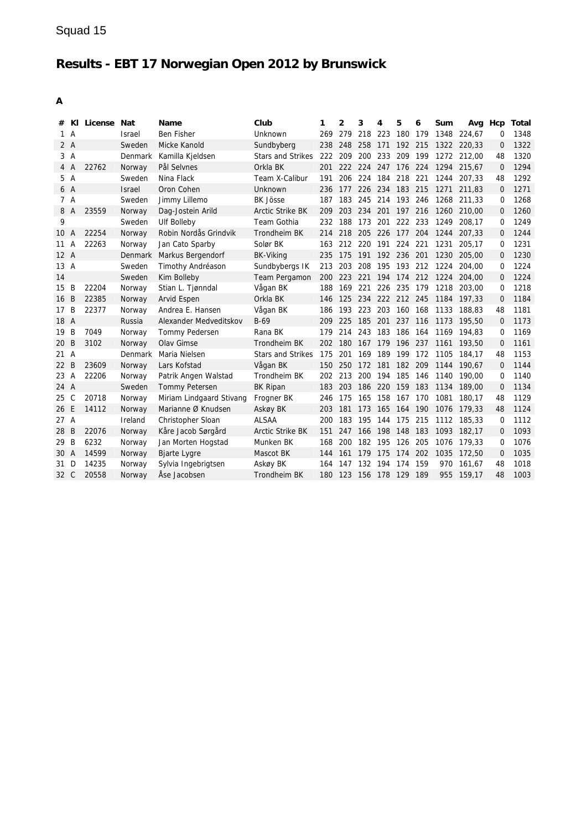| #                 |                | KI License Nat |               | Name                     | Club                     | 1   | $\overline{2}$ | 3   | 4               | 5           | 6   | Sum  | Avg Hcp |             | Total |
|-------------------|----------------|----------------|---------------|--------------------------|--------------------------|-----|----------------|-----|-----------------|-------------|-----|------|---------|-------------|-------|
| 1.                | $\overline{A}$ |                | <b>Israel</b> | <b>Ben Fisher</b>        | Unknown                  | 269 | 279            | 218 | 223             | 180         | 179 | 1348 | 224.67  | 0           | 1348  |
| 2A                |                |                | Sweden        | Micke Kanold             | Sundbyberg               | 238 | 248            | 258 | 171             | 192 215     |     | 1322 | 220.33  | $\Omega$    | 1322  |
|                   | 3A             |                | Denmark       | Kamilla Kjeldsen         | <b>Stars and Strikes</b> | 222 | 209            | 200 | 233             | 209         | 199 | 1272 | 212.00  | 48          | 1320  |
| 4                 | A              | 22762          | Norway        | Pål Selvnes              | Orkla BK                 | 201 | 222            | 224 | 247             | 176         | 224 | 1294 | 215.67  | $\Omega$    | 1294  |
| 5 A               |                |                | Sweden        | Nina Flack               | Team X-Calibur           | 191 | 206            | 224 | 184             | 218         | 221 | 1244 | 207.33  | 48          | 1292  |
| 6 A               |                |                | <b>Israel</b> | Oron Cohen               | Unknown                  | 236 | 177            | 226 | 234 183 215     |             |     | 1271 | 211,83  | $\Omega$    | 1271  |
| 7 A               |                |                | Sweden        | Jimmy Lillemo            | <b>BK Jösse</b>          | 187 | 183            |     | 245 214 193 246 |             |     | 1268 | 211,33  | 0           | 1268  |
| 8                 | A              | 23559          | Norway        | Dag-Jostein Arild        | <b>Arctic Strike BK</b>  | 209 | 203            | 234 |                 | 201 197     | 216 | 1260 | 210.00  | 0           | 1260  |
| 9                 |                |                | Sweden        | Ulf Bolleby              | Team Gothia              | 232 | 188            | 173 | 201             | 222 233     |     | 1249 | 208.17  | 0           | 1249  |
| 10                | A              | 22254          | Norway        | Robin Nordås Grindvik    | Trondheim BK             | 214 | 218            |     | 205 226 177     |             | 204 | 1244 | 207.33  | 0           | 1244  |
| 11                | Α              | 22263          | Norway        | Jan Cato Sparby          | Solør BK                 | 163 | 212            | 220 | 191             | 224         | 221 | 1231 | 205,17  | $\Omega$    | 1231  |
| 12A               |                |                | Denmark       | Markus Bergendorf        | <b>BK-Viking</b>         | 235 | 175            | 191 | 192             | 236         | 201 | 1230 | 205,00  | 0           | 1230  |
| 13A               |                |                | Sweden        | Timothy Andréason        | Sundbybergs IK           | 213 | 203            | 208 | 195             | 193         | 212 | 1224 | 204.00  | 0           | 1224  |
| 14                |                |                | Sweden        | Kim Bolleby              | Team Pergamon            | 200 | 223            | 221 | 194             | 174         | 212 | 1224 | 204.00  | $\Omega$    | 1224  |
| 15                | B              | 22204          | Norway        | Stian L. Tjønndal        | Vågan BK                 | 188 | 169            | 221 |                 | 226 235     | 179 | 1218 | 203.00  | $\Omega$    | 1218  |
| 16                | B              | 22385          | Norway        | Arvid Espen              | Orkla BK                 | 146 | 125            | 234 |                 | 222 212 245 |     | 1184 | 197.33  | $\Omega$    | 1184  |
| 17                | B              | 22377          | Norway        | Andrea E. Hansen         | Vågan BK                 | 186 | 193            | 223 | 203             | 160         | 168 | 1133 | 188.83  | 48          | 1181  |
| 18 A              |                |                | Russia        | Alexander Medveditskov   | $B-69$                   | 209 | 225            | 185 | 201             | 237 116     |     | 1173 | 195,50  | 0           | 1173  |
| 19                | B              | 7049           | Norway        | Tommy Pedersen           | Rana BK                  | 179 | 214            | 243 | 183             | 186         | 164 | 1169 | 194.83  | 0           | 1169  |
| 20                | B              | 3102           | Norway        | Olav Gimse               | Trondheim BK             | 202 | 180            | 167 | 179             | 196         | 237 | 1161 | 193,50  | $\mathbf 0$ | 1161  |
| 21 A              |                |                | Denmark       | Maria Nielsen            | <b>Stars and Strikes</b> | 175 | 201            | 169 | 189             | 199         | 172 | 1105 | 184.17  | 48          | 1153  |
| $22 \overline{ }$ | B              | 23609          | Norway        | Lars Kofstad             | Vågan BK                 | 150 | 250            | 172 | 181             | 182         | 209 | 1144 | 190.67  | $\Omega$    | 1144  |
| 23 A              |                | 22206          | Norway        | Patrik Angen Walstad     | Trondheim BK             | 202 | 213            | 200 | 194             | 185         | 146 | 1140 | 190.00  | $\Omega$    | 1140  |
| 24 A              |                |                | Sweden        | <b>Tommy Petersen</b>    | <b>BK Ripan</b>          | 183 | 203            | 186 | 220             | 159         | 183 | 1134 | 189,00  | 0           | 1134  |
| 25                | C              | 20718          | Norway        | Miriam Lindgaard Stivang | Frogner BK               | 246 | 175            | 165 | 158             | 167         | 170 | 1081 | 180.17  | 48          | 1129  |
| 26                | E              | 14112          | Norway        | Marianne Ø Knudsen       | Askøy BK                 | 203 | 181            | 173 | 165             | 164         | 190 | 1076 | 179.33  | 48          | 1124  |
| 27A               |                |                | Ireland       | Christopher Sloan        | <b>ALSAA</b>             | 200 | 183            | 195 | 144             | 175         | 215 | 1112 | 185,33  | $\Omega$    | 1112  |
| 28                | B              | 22076          | Norway        | Kåre Jacob Sørgård       | <b>Arctic Strike BK</b>  | 151 | 247            | 166 | 198             | 148         | 183 | 1093 | 182,17  | 0           | 1093  |
| 29                | B              | 6232           | Norway        | Jan Morten Hogstad       | Munken BK                | 168 | 200            | 182 | 195             | 126         | 205 | 1076 | 179,33  | 0           | 1076  |
| 30 A              |                | 14599          | Norway        | <b>Bjarte Lygre</b>      | Mascot BK                | 144 | 161            | 179 | 175             | 174         | 202 | 1035 | 172,50  | $\Omega$    | 1035  |
| 31                | D              | 14235          | Norway        | Sylvia Ingebrigtsen      | Askøy BK                 | 164 | 147            | 132 | 194             | 174         | 159 | 970  | 161.67  | 48          | 1018  |
| 32 C              |                | 20558          | Norway        | Åse Jacobsen             | Trondheim BK             | 180 | 123            | 156 | 178             | 129         | 189 | 955  | 159,17  | 48          | 1003  |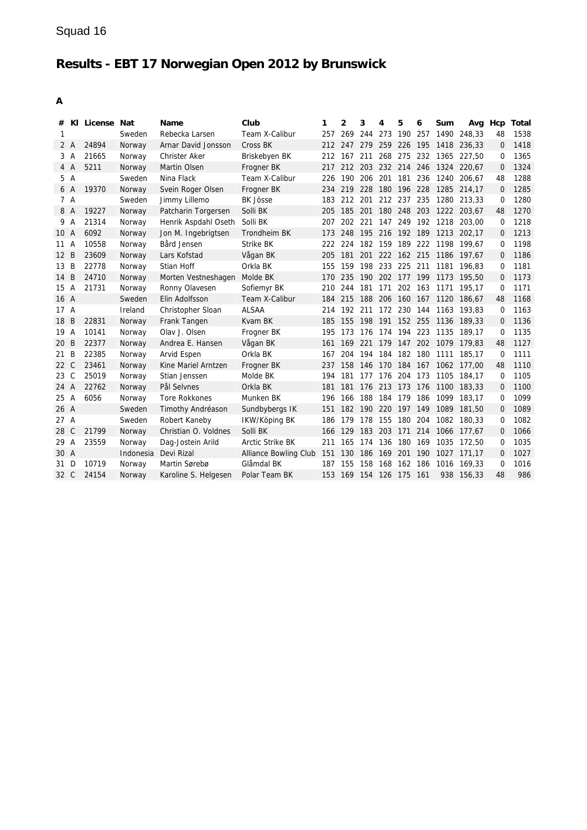| #    |              | KI License Nat |           | Name                 | Club                    | 1   | 2       | 3               | 4           | 5           | 6   | Sum                  | Avq         | Hcp      | Total |
|------|--------------|----------------|-----------|----------------------|-------------------------|-----|---------|-----------------|-------------|-------------|-----|----------------------|-------------|----------|-------|
| 1    |              |                | Sweden    | Rebecka Larsen       | Team X-Calibur          | 257 | 269     | 244 273         |             | 190         | 257 | 1490                 | 248.33      | 48       | 1538  |
|      | 2 A          | 24894          | Norway    | Arnar David Jonsson  | Cross BK                |     | 212 247 | 279             | 259 226     |             | 195 | 1418                 | 236,33      | 0        | 1418  |
| 3    | A            | 21665          | Norway    | Christer Aker        | Briskebyen BK           | 212 | 167     | 211             | 268         | 275         | 232 | 1365                 | 227,50      | 0        | 1365  |
| 4 A  |              | 5211           | Norway    | Martin Olsen         | Frogner BK              | 217 |         | 212 203         | 232 214 246 |             |     | 1324                 | 220.67      | 0        | 1324  |
| 5.   | A            |                | Sweden    | Nina Flack           | Team X-Calibur          | 226 | 190     | 206             | 201         | 181         | 236 | 1240                 | 206.67      | 48       | 1288  |
| 6 A  |              | 19370          | Norway    | Svein Roger Olsen    | Frogner BK              | 234 | 219     | 228             |             | 180 196 228 |     |                      | 1285 214,17 | 0        | 1285  |
| 7 A  |              |                | Sweden    | Jimmy Lillemo        | <b>BK Jösse</b>         | 183 | 212     | 201             | 212 237     |             | 235 | 1280                 | 213,33      | $\Omega$ | 1280  |
| 8 A  |              | 19227          | Norway    | Patcharin Torgersen  | Solli BK                | 205 | 185     | 201             |             | 180 248 203 |     |                      | 1222 203.67 | 48       | 1270  |
| 9    | A            | 21314          | Norway    | Henrik Aspdahl Oseth | Solli BK                | 207 | 202     | - 221           | 147         | 249 192     |     | 1218                 | 203.00      | $\Omega$ | 1218  |
| 10 A |              | 6092           | Norway    | Jon M. Ingebrigtsen  | Trondheim BK            | 173 | 248     | 195 216 192 189 |             |             |     |                      | 1213 202,17 | $\Omega$ | 1213  |
| 11   | A            | 10558          | Norway    | Bård Jensen          | Strike BK               | 222 | 224     | 182             | 159         | 189         | 222 | 1198                 | 199,67      | 0        | 1198  |
| 12   | B            | 23609          | Norway    | Lars Kofstad         | Vågan BK                | 205 | 181     | 201             |             | 222 162 215 |     |                      | 1186 197,67 | 0        | 1186  |
| 13   | B            | 22778          | Norway    | Stian Hoff           | Orkla BK                | 155 | 159     | 198             | 233 225     |             | 211 | 1181                 | 196.83      | $\Omega$ | 1181  |
| 14   | B            | 24710          | Norway    | Morten Vestneshagen  | Molde BK                | 170 | 235     | 190             |             | 202 177 199 |     | 1173                 | 195,50      | $\Omega$ | 1173  |
| 15   | Α            | 21731          | Norway    | Ronny Olavesen       | Sofiemyr BK             | 210 | 244     | 181             | 171         | 202 163     |     | 1171                 | 195.17      | $\Omega$ | 1171  |
| 16 A |              |                | Sweden    | Elin Adolfsson       | Team X-Calibur          | 184 | 215     |                 |             |             |     | 188 206 160 167 1120 | 186,67      | 48       | 1168  |
| 17A  |              |                | Ireland   | Christopher Sloan    | ALSAA                   | 214 | 192     | 211             |             | 172 230 144 |     | 1163                 | 193.83      | $\Omega$ | 1163  |
| 18   | B            | 22831          | Norway    | Frank Tangen         | Kvam BK                 | 185 | 155     | 198             | 191         | 152 255     |     |                      | 1136 189,33 | $\Omega$ | 1136  |
| 19   | Α            | 10141          | Norway    | Olav J. Olsen        | Frogner BK              | 195 | 173     | 176             | 174         | 194         | 223 | 1135                 | 189,17      | 0        | 1135  |
| 20   | B            | 22377          | Norway    | Andrea E. Hansen     | Vågan BK                | 161 | 169     | 221             |             | 179 147     |     | 202 1079             | 179,83      | 48       | 1127  |
| 21   | B            | 22385          | Norway    | Arvid Espen          | Orkla BK                | 167 | 204     | 194             | 184         | 182         | 180 | 1111                 | 185,17      | 0        | 1111  |
| 22   | C            | 23461          | Norway    | Kine Mariel Arntzen  | Frogner BK              | 237 | 158     | 146             |             | 170 184 167 |     |                      | 1062 177.00 | 48       | 1110  |
| 23   | C            | 25019          | Norway    | Stian Jenssen        | Molde BK                | 194 | 181     | 177             | 176         | 204         | 173 | 1105                 | 184.17      | $\Omega$ | 1105  |
| 24 A |              | 22762          | Norway    | Pål Selvnes          | Orkla BK                | 181 | 181     | 176             | 213 173 176 |             |     | 1100                 | 183,33      | 0        | 1100  |
| 25   | Α            | 6056           | Norway    | <b>Tore Rokkones</b> | Munken BK               | 196 | 166     | 188             | 184         | 179         | 186 | 1099                 | 183.17      | 0        | 1099  |
| 26 A |              |                | Sweden    | Timothy Andréason    | Sundbybergs IK          | 151 | 182     | 190             | 220         | 197         | 149 | 1089                 | 181,50      | $\Omega$ | 1089  |
| 27A  |              |                | Sweden    | Robert Kaneby        | IKW/Köping BK           | 186 | 179     | 178             | 155         | 180         | 204 | 1082                 | 180,33      | 0        | 1082  |
| 28   | $\mathsf{C}$ | 21799          | Norway    | Christian O. Voldnes | Solli BK                | 166 | 129     | 183             | 203         | 171         | 214 | 1066                 | 177,67      | 0        | 1066  |
| 29 A |              | 23559          | Norway    | Dag-Jostein Arild    | <b>Arctic Strike BK</b> | 211 | 165     | 174             | 136         | 180         | 169 | 1035                 | 172.50      | 0        | 1035  |
| 30 A |              |                | Indonesia | Devi Rizal           | Alliance Bowling Club   | 151 | 130     | 186             | 169         | 201         | 190 | 1027                 | 171.17      | $\Omega$ | 1027  |
| 31   | D            | 10719          | Norway    | Martin Sørebø        | Glåmdal BK              | 187 | 155     | 158             | 168         | 162         | 186 | 1016                 | 169,33      | $\Omega$ | 1016  |
| 32 C |              | 24154          | Norway    | Karoline S. Helgesen | Polar Team BK           | 153 | 169     | 154             | 126 175     |             | 161 | 938                  | 156,33      | 48       | 986   |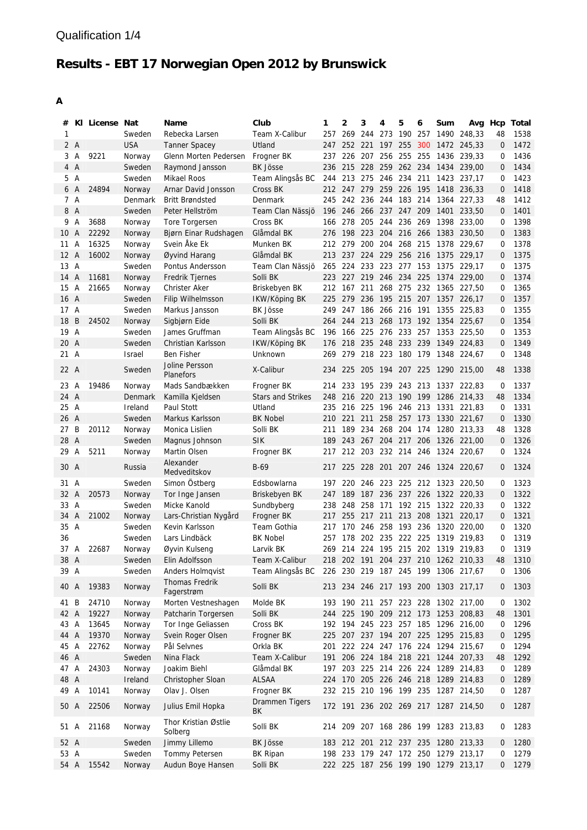| #    |                | KI License Nat |            | Name                            | Club                     | 1   | 2       | 3                       | 4           | 5           | 6   | Sum  | Avg                                 |                | Hcp Total |
|------|----------------|----------------|------------|---------------------------------|--------------------------|-----|---------|-------------------------|-------------|-------------|-----|------|-------------------------------------|----------------|-----------|
| 1    |                |                | Sweden     | Rebecka Larsen                  | Team X-Calibur           | 257 | 269     | 244                     | 273         | 190         | 257 |      | 1490 248.33                         | 48             | 1538      |
|      | 2A             |                | <b>USA</b> | <b>Tanner Spacey</b>            | Utland                   | 247 |         | 252 221 197 255         |             |             |     |      | 300 1472 245,33                     | $\mathbf{0}$   | 1472      |
| 3    | A              | 9221           | Norway     | Glenn Morten Pedersen           | Frogner BK               | 237 |         | 226 207                 |             | 256 255 255 |     |      | 1436 239,33                         | 0              | 1436      |
| 4    | $\overline{A}$ |                | Sweden     | Raymond Jansson                 | <b>BK Jösse</b>          | 236 |         | 215 228                 | 259 262 234 |             |     |      | 1434 239,00                         | $\mathbf{0}$   | 1434      |
| 5    | A              |                | Sweden     | <b>Mikael Roos</b>              | Team Alingsås BC         |     |         | 244 213 275 246 234 211 |             |             |     |      | 1423 237,17                         | 0              | 1423      |
| 6    | $\overline{A}$ | 24894          | Norway     | Arnar David Jonsson             | Cross BK                 |     |         |                         |             |             |     |      | 212 247 279 259 226 195 1418 236,33 | $\mathbf 0$    | 1418      |
|      | 7 A            |                | Denmark    | <b>Britt Brøndsted</b>          | Denmark                  | 245 |         | 242 236 244 183 214     |             |             |     |      | 1364 227,33                         | 48             | 1412      |
|      | 8 A            |                | Sweden     | Peter Hellström                 | Team Clan Nässjö         | 196 |         | 246 266 237 247 209     |             |             |     | 1401 | 233,50                              | $\mathbf{0}$   | 1401      |
| 9    | Α              | 3688           | Norway     | Tore Torgersen                  | Cross BK                 | 166 | 278     | 205                     | 244 236 269 |             |     |      | 1398 233,00                         | 0              | 1398      |
| 10   | A              | 22292          | Norway     | Bjørn Einar Rudshagen           | Glåmdal BK               | 276 | 198 223 |                         | 204 216 266 |             |     |      | 1383 230.50                         | $\mathbf{0}$   | 1383      |
| 11   | Α              | 16325          | Norway     | Svein Åke Ek                    | Munken BK                | 212 | 279     | 200                     | 204         | 268 215     |     |      | 1378 229,67                         | 0              | 1378      |
| 12 A |                | 16002          | Norway     | Øyvind Harang                   | Glåmdal BK               |     |         | 213 237 224             | 229 256 216 |             |     |      | 1375 229,17                         | $\overline{0}$ | 1375      |
| 13 A |                |                | Sweden     | Pontus Andersson                | Team Clan Nässjö         | 265 |         | 224 233 223 277 153     |             |             |     |      | 1375 229,17                         | 0              | 1375      |
| 14   | $\overline{A}$ | 11681          | Norway     | <b>Fredrik Tjernes</b>          | Solli BK                 | 223 |         | 227 219 246 234 225     |             |             |     |      | 1374 229,00                         | 0              | 1374      |
| 15   | A              | 21665          | Norway     | <b>Christer Aker</b>            | Briskebyen BK            | 212 | 167     | 211                     |             | 268 275     | 232 |      | 1365 227,50                         | 0              | 1365      |
| 16   | $\overline{A}$ |                | Sweden     | <b>Filip Wilhelmsson</b>        | IKW/Köping BK            | 225 |         | 279 236                 |             |             |     |      | 195 215 207 1357 226,17             | $\overline{0}$ | 1357      |
| 17   | $\overline{A}$ |                | Sweden     | Markus Jansson                  | BK Jösse                 | 249 | 247     | 186                     | 266 216 191 |             |     |      | 1355 225,83                         | 0              | 1355      |
| 18   | B              | 24502          | Norway     | Sigbjørn Eide                   | Solli BK                 | 264 | 244     | 213                     | 268 173     |             | 192 |      | 1354 225,67                         | $\mathbf{0}$   | 1354      |
| 19 A |                |                | Sweden     | James Gruffman                  | Team Alingsås BC         | 196 |         | 166 225 276 233 257     |             |             |     |      | 1353 225,50                         | 0              | 1353      |
| 20   | $\overline{A}$ |                | Sweden     | Christian Karlsson              | <b>IKW/Köping BK</b>     | 176 |         | 218 235 248 233 239     |             |             |     |      | 1349 224,83                         | $\mathbf 0$    | 1349      |
| 21 A |                |                | Israel     | <b>Ben Fisher</b>               | Unknown                  | 269 |         |                         |             |             |     |      | 279 218 223 180 179 1348 224,67     | 0              | 1348      |
| 22 A |                |                | Sweden     | Joline Persson<br>Planefors     | X-Calibur                | 234 |         |                         |             |             |     |      | 225 205 194 207 225 1290 215,00     | 48             | 1338      |
| 23 A |                | 19486          | Norway     | Mads Sandbækken                 | Frogner BK               | 214 | 233     | 195 239 243 213         |             |             |     |      | 1337 222,83                         | 0              | 1337      |
| 24 A |                |                | Denmark    | Kamilla Kjeldsen                | <b>Stars and Strikes</b> |     |         |                         |             |             |     |      | 248 216 220 213 190 199 1286 214.33 | 48             | 1334      |
| 25 A |                |                | Ireland    | Paul Stott                      | Utland                   | 235 |         | 216 225                 |             |             |     |      | 196 246 213 1331 221,83             | 0              | 1331      |
| 26   | A              |                | Sweden     | Markus Karlsson                 | <b>BK Nobel</b>          |     | 210 221 | 211                     |             |             |     |      | 258 257 173 1330 221,67             | $\mathbf 0$    | 1330      |
| 27   | B              | 20112          | Norway     | Monica Lislien                  | Solli BK                 | 211 | 189     | 234                     |             |             |     |      | 268 204 174 1280 213,33             | 48             | 1328      |
| 28   | $\overline{A}$ |                | Sweden     | Magnus Johnson                  | <b>SIK</b>               | 189 | 243     | 267 204 217             |             |             |     |      | 206 1326 221,00                     | $\mathbf{0}$   | 1326      |
| 29   | Α              | 5211           | Norway     | Martin Olsen                    | Frogner BK               | 217 |         | 212 203                 | 232 214 246 |             |     |      | 1324 220,67                         | 0              | 1324      |
| 30 A |                |                | Russia     | Alexander<br>Medveditskov       | B-69                     |     |         |                         |             |             |     |      | 217 225 228 201 207 246 1324 220,67 | 0              | 1324      |
| 31   | A              |                | Sweden     | Simon Östberg                   | Edsbowlarna              | 197 |         |                         |             |             |     |      | 220 246 223 225 212 1323 220,50     | 0              | 1323      |
| 32   | $\overline{A}$ | 20573          | Norway     | Tor Inge Jansen                 | Briskebyen BK            | 247 |         |                         |             |             |     |      | 189 187 236 237 226 1322 220,33     | $\overline{0}$ | 1322      |
| 33   | A              |                | Sweden     | Micke Kanold                    | Sundbyberg               | 238 | 248     | 258                     | 171         | 192 215     |     |      | 1322 220,33                         | 0              | 1322      |
| 34   | A              | 21002          | Norway     | Lars-Christian Nygård           | Frogner BK               | 217 | 255     | 217                     | 211         | 213 208     |     | 1321 | 220,17                              | $\mathbf{0}$   | 1321      |
| 35 A |                |                | Sweden     | Kevin Karlsson                  | Team Gothia              | 217 |         | 170 246                 | 258         | 193 236     |     |      | 1320 220,00                         | 0              | 1320      |
| 36   |                |                | Sweden     | Lars Lindbäck                   | <b>BK Nobel</b>          | 257 | 178     | 202 235 222 225         |             |             |     |      | 1319 219,83                         | $\Omega$       | 1319      |
| 37 A |                | 22687          | Norway     | Øyvin Kulseng                   | Larvik BK                |     |         |                         |             |             |     |      | 269 214 224 195 215 202 1319 219,83 | 0              | 1319      |
| 38   | $\overline{A}$ |                | Sweden     | Elin Adolfsson                  | Team X-Calibur           |     |         |                         |             |             |     |      | 218 202 191 204 237 210 1262 210,33 | 48             | 1310      |
| 39 A |                |                | Sweden     | Anders Holmqvist                | Team Alingsås BC         |     |         |                         |             |             |     |      | 226 230 219 187 245 199 1306 217,67 | 0              | 1306      |
| 40 A |                | 19383          | Norway     | Thomas Fredrik<br>Fagerstrøm    | Solli BK                 |     |         |                         |             |             |     |      | 213 234 246 217 193 200 1303 217,17 | 0              | 1303      |
| 41 B |                | 24710          | Norway     | Morten Vestneshagen             | Molde BK                 |     |         |                         |             |             |     |      | 193 190 211 257 223 228 1302 217,00 | 0              | 1302      |
| 42 A |                | 19227          | Norway     | Patcharin Torgersen             | Solli BK                 | 244 |         |                         |             |             |     |      | 225 190 209 212 173 1253 208,83     | 48             | 1301      |
| 43 A |                | 13645          | Norway     | Tor Inge Geliassen              | Cross BK                 |     |         |                         |             |             |     |      | 192 194 245 223 257 185 1296 216,00 | 0              | 1296      |
| 44 A |                | 19370          | Norway     | Svein Roger Olsen               | Frogner BK               | 225 |         |                         |             |             |     |      | 207 237 194 207 225 1295 215,83     | $\mathbf 0$    | 1295      |
| 45 A |                | 22762          | Norway     | Pål Selvnes                     | Orkla BK                 | 201 |         |                         |             |             |     |      | 222 224 247 176 224 1294 215,67     | 0              | 1294      |
| 46 A |                |                | Sweden     | Nina Flack                      | Team X-Calibur           | 191 |         |                         |             |             |     |      | 206 224 184 218 221 1244 207,33     | 48             | 1292      |
| 47 A |                | 24303          | Norway     | Joakim Biehl                    | Glåmdal BK               |     |         |                         |             |             |     |      | 197 203 225 214 226 224 1289 214,83 | 0              | 1289      |
| 48 A |                |                | Ireland    | Christopher Sloan               | <b>ALSAA</b>             | 224 |         |                         |             |             |     |      | 170 205 226 246 218 1289 214,83     | 0              | 1289      |
| 49 A |                | 10141          | Norway     | Olav J. Olsen                   | Frogner BK               |     |         |                         |             |             |     |      | 232 215 210 196 199 235 1287 214,50 | 0              | 1287      |
| 50 A |                | 22506          | Norway     | Julius Emil Hopka               | Drammen Tigers<br>BK     |     |         |                         |             |             |     |      | 172 191 236 202 269 217 1287 214,50 | 0              | 1287      |
| 51 A |                | 21168          | Norway     | Thor Kristian Østlie<br>Solberg | Solli BK                 |     |         |                         |             |             |     |      | 214 209 207 168 286 199 1283 213,83 | 0              | 1283      |
| 52 A |                |                | Sweden     | Jimmy Lillemo                   | BK Jösse                 |     |         |                         |             |             |     |      | 183 212 201 212 237 235 1280 213,33 | 0              | 1280      |
| 53 A |                |                | Sweden     | Tommy Petersen                  | <b>BK Ripan</b>          | 198 |         |                         |             |             |     |      | 233 179 247 172 250 1279 213,17     | 0              | 1279      |
| 54 A |                | 15542          | Norway     | Audun Boye Hansen               | Solli BK                 |     |         |                         |             |             |     |      | 222 225 187 256 199 190 1279 213,17 | 0              | 1279      |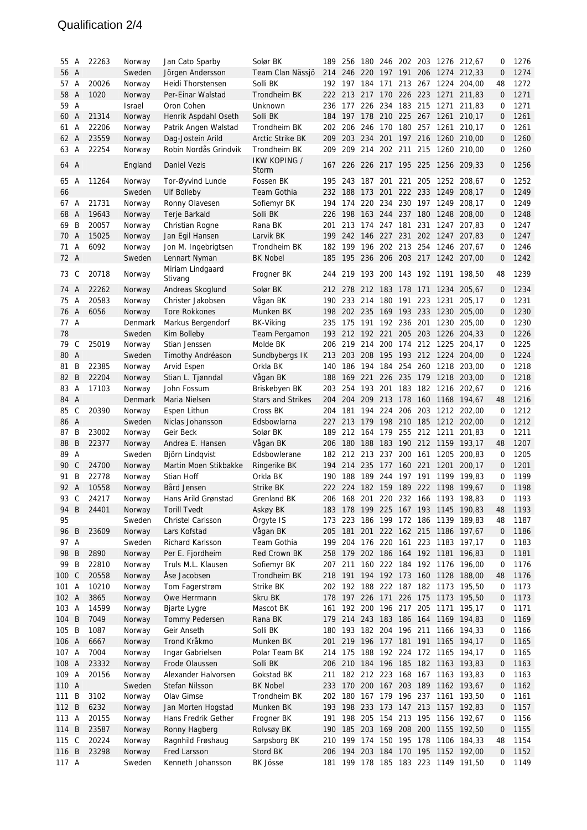#### Qualification 2/4

| 55           | A              | 22263 | Norway           | Jan Cato Sparby                  | Solør BK                 | 189 | 256                     |         |                     |             |     |                              | 180 246 202 203 1276 212,67                                    | 0            | 1276         |
|--------------|----------------|-------|------------------|----------------------------------|--------------------------|-----|-------------------------|---------|---------------------|-------------|-----|------------------------------|----------------------------------------------------------------|--------------|--------------|
| 56 A         |                |       | Sweden           | Jörgen Andersson                 | Team Clan Nässjö         | 214 | 246 220                 |         |                     |             |     |                              | 197 191 206 1274 212,33                                        | $\mathbf{0}$ | 1274         |
| 57           | A              | 20026 | Norway           | Heidi Thorstensen                | Solli BK                 |     | 192 197                 | 184     | 171                 | 213 267     |     | 1224                         | 204,00                                                         | 48           | 1272         |
| 58           | A              | 1020  | Norway           | Per-Einar Walstad                | Trondheim BK             | 222 | 213 217                 |         | 170 226 223         |             |     | 1271                         | 211,83                                                         | 0            | 1271         |
| 59           | Α              |       | Israel           | Oron Cohen                       | Unknown                  | 236 | 177                     | 226     | 234                 | 183 215     |     | 1271                         | 211,83                                                         | 0            | 1271         |
| 60           | A              | 21314 | Norway           | Henrik Aspdahl Oseth             | Solli BK                 | 184 |                         |         |                     |             |     |                              | 197 178 210 225 267 1261 210,17                                | $\mathbf{0}$ | 1261         |
| 61           | A              | 22206 | Norway           | Patrik Angen Walstad             | Trondheim BK             | 202 |                         | 206 246 | 170 180 257         |             |     |                              | 1261 210.17                                                    | 0            | 1261         |
| 62           | A              | 23559 | Norway           | Dag-Jostein Arild                | <b>Arctic Strike BK</b>  | 209 | 203                     | 234     | 201                 | 197 216     |     |                              | 1260 210,00                                                    | $\mathbf{0}$ | 1260         |
| 63           | Α              | 22254 | Norway           | Robin Nordås Grindvik            | Trondheim BK             | 209 |                         | 209 214 | 202 211 215         |             |     |                              | 1260 210,00                                                    | 0            | 1260         |
| 64 A         |                |       | England          | Daniel Vezis                     | IKW KOPING /<br>Storm    |     |                         |         |                     |             |     |                              | 167 226 226 217 195 225 1256 209,33                            | $\mathbf{0}$ | 1256         |
| 65           | A              | 11264 | Norway           | Tor-Øyvind Lunde                 | Fossen BK                |     | 195 243 187 201 221 205 |         |                     |             |     |                              | 1252 208,67                                                    | 0            | 1252         |
| 66           |                |       | Sweden           | <b>Ulf Bolleby</b>               | <b>Team Gothia</b>       | 232 | 188                     | 173     | 201                 |             |     | 222 233 1249                 | 208,17                                                         | $\mathbf{0}$ | 1249         |
| 67           | A              | 21731 | Norway           | Ronny Olavesen                   | Sofiemyr BK              | 194 |                         | 174 220 |                     | 234 230 197 |     | 1249                         | 208,17                                                         | 0            | 1249         |
| 68           | A              | 19643 | Norway           | Terje Barkald                    | Solli BK                 | 226 | 198 163 244 237 180     |         |                     |             |     |                              | 1248 208,00                                                    | $\mathbf{0}$ | 1248         |
| 69           | B              | 20057 | Norway           | Christian Rogne                  | Rana BK                  | 201 | 213                     | 174     | 247 181             |             | 231 | 1247                         | 207,83                                                         | 0            | 1247         |
| 70           | $\overline{A}$ | 15025 | Norway           | Jan Egil Hansen                  | Larvik BK                | 199 | 242                     |         | 146 227 231         |             | 202 | 1247                         | 207,83                                                         | $\mathbf{0}$ | 1247         |
| 71           | Α              | 6092  | Norway           | Jon M. Ingebrigtsen              | Trondheim BK             | 182 | 199                     |         | 196 202 213 254     |             |     |                              | 1246 207,67                                                    | 0            | 1246         |
| 72 A         |                |       | Sweden           | Lennart Nyman                    | <b>BK Nobel</b>          | 185 |                         |         |                     |             |     |                              | 195 236 206 203 217 1242 207,00                                | $\mathbf{0}$ | 1242         |
| 73           | C              | 20718 | Norway           | Miriam Lindgaard<br>Stivang      | Frogner BK               | 244 |                         |         |                     |             |     |                              | 219 193 200 143 192 1191 198.50                                | 48           | 1239         |
| 74           | A              | 22262 | Norway           | Andreas Skoglund                 | Solør BK                 | 212 | 278                     | 212     | 183                 | 178         | 171 | 1234                         | 205,67                                                         | 0            | 1234         |
| 75           | A              | 20583 | Norway           | Christer Jakobsen                | Vågan BK                 |     | 190 233 214             |         | 180                 | 191         | 223 | 1231                         | 205,17                                                         | 0            | 1231         |
| 76 A         |                | 6056  | Norway           | <b>Tore Rokkones</b>             | Munken BK                | 198 |                         |         |                     |             |     |                              | 202 235 169 193 233 1230 205,00                                | 0            | 1230         |
| 77 A         |                |       | Denmark          | Markus Bergendorf                | <b>BK-Viking</b>         | 235 |                         |         | 175 191 192 236 201 |             |     |                              | 1230 205,00                                                    | 0            | 1230         |
| 78           |                |       | Sweden           | Kim Bolleby                      | <b>Team Pergamon</b>     | 193 |                         |         | 212 192 221         |             |     |                              | 205 203 1226 204,33                                            | 0            | 1226         |
| 79           | C              | 25019 | Norway           | Stian Jenssen                    | Molde BK                 | 206 | 219                     | 214     | 200                 |             |     | 174 212 1225                 | 204,17                                                         | 0            | 1225         |
| 80           | $\overline{A}$ |       | Sweden           | Timothy Andréason                | Sundbybergs IK           | 213 | 203                     | 208     |                     |             |     | 195 193 212 1224             | 204,00                                                         | $\mathbf{0}$ | 1224         |
| 81           | B              | 22385 | Norway           | Arvid Espen                      | Orkla BK                 | 140 | 186                     | 194     | 184                 | 254         | 260 | 1218                         | 203,00                                                         | 0            | 1218         |
| 82           | B              | 22204 | Norway           | Stian L. Tjønndal                | Vågan BK                 | 188 | 169                     | 221     | 226 235             |             | 179 |                              | 1218 203,00                                                    | $\mathbf{0}$ | 1218         |
| 83           | Α              | 17103 | Norway           | John Fossum                      | Briskebyen BK            | 203 | 254                     | 193     | 201                 | 183 182     |     |                              | 1216 202,67                                                    | 0            | 1216         |
| 84           | A              |       | Denmark          | Maria Nielsen                    | <b>Stars and Strikes</b> | 204 |                         |         | 204 209 213 178     |             | 160 |                              | 1168 194,67                                                    | 48           | 1216         |
| 85           | $\mathsf{C}$   | 20390 | Norway           | Espen Lithun                     | Cross BK                 | 204 | 181                     |         | 194 224 206 203     |             |     |                              | 1212 202,00                                                    | 0            | 1212         |
| 86 A         |                |       | Sweden           | Niclas Johansson                 | Edsbowlarna              | 227 |                         |         |                     |             |     |                              | 213 179 198 210 185 1212 202,00                                | $\mathbf{0}$ | 1212         |
| 87           | B              | 23002 | Norway           | Geir Beck                        | Solør BK                 | 189 |                         | 212 164 |                     |             |     | 179 255 212 1211             | 201,83                                                         | 0            | 1211         |
| 88           | B              | 22377 | Norway           | Andrea E. Hansen                 | Vågan BK                 | 206 | 180                     | 188     | 183                 |             |     |                              | 190 212 1159 193,17                                            | 48           | 1207         |
| 89           | Α              |       | Sweden           | Björn Lindqvist                  | Edsbowlerane             | 182 | 212                     | 213     | 237                 | 200         | 161 | 1205                         | 200.83                                                         | 0            | 1205         |
| 90           | $\mathsf{C}$   | 24700 | Norway           | Martin Moen Stikbakke            | Ringerike BK             | 194 | 214 235                 |         | 177 160 221         |             |     | 1201                         | 200.17                                                         | 0            | 1201         |
| 91           | B              | 22778 | Norway           | Stian Hoff                       | Orkla BK                 | 190 | 188                     |         | 189 244 197 191     |             |     |                              | 1199 199.83                                                    | 0            | 1199         |
| 92 A         |                | 10558 | Norway           | Bård Jensen                      | Strike BK                |     |                         |         |                     |             |     |                              | 222 224 182 159 189 222 1198 199,67                            | $\mathbf{0}$ | 1198         |
| 93           | $\mathsf C$    | 24217 | Norway           | Hans Arild Grønstad              | Grenland BK              |     |                         |         |                     |             |     | 206 168 201 220 232 166 1193 | 198,83                                                         | 0            | 1193         |
| 94           | B              | 24401 | Norway           | <b>Torill Tvedt</b>              | Askøy BK                 | 183 |                         |         |                     |             |     |                              | 178 199 225 167 193 1145 190,83                                | 48           | 1193         |
| 95           |                |       | Sweden           | <b>Christel Carlsson</b>         | Örgyte IS                | 173 | 223                     |         |                     |             |     |                              | 186 199 172 186 1139 189,83                                    | 48           | 1187         |
| 96 B         |                | 23609 | Norway           | Lars Kofstad<br>Richard Karlsson | Vågan BK<br>Team Gothia  | 205 | 181                     | 201     |                     |             |     |                              | 222 162 215 1186 197,67<br>199 204 176 220 161 223 1183 197,17 | 0            | 1186<br>1183 |
| 97 A<br>98 B |                | 2890  | Sweden<br>Norway | Per E. Fjordheim                 | Red Crown BK             |     |                         |         |                     |             |     |                              | 258 179 202 186 164 192 1181 196,83                            | 0<br>0       | 1181         |
| 99 B         |                | 22810 | Norway           | Truls M.L. Klausen               | Sofiemyr BK              | 207 |                         |         |                     |             |     |                              | 211 160 222 184 192 1176 196,00                                | 0            | 1176         |
| 100 C        |                | 20558 | Norway           | Åse Jacobsen                     | Trondheim BK             | 218 |                         |         |                     |             |     |                              | 191 194 192 173 160 1128 188,00                                | 48           | 1176         |
| 101 A        |                | 10210 | Norway           | Tom Fagerstrøm                   | Strike BK                |     |                         |         |                     |             |     |                              | 202 192 188 222 187 182 1173 195,50                            | 0            | 1173         |
| 102 A        |                | 3865  | Norway           | Owe Herrmann                     | Skru BK                  |     |                         |         |                     |             |     |                              | 178 197 226 171 226 175 1173 195,50                            | 0            | 1173         |
| 103 A        |                | 14599 | Norway           | <b>Bjarte Lygre</b>              | Mascot BK                | 161 | 192 200                 |         | 196 217 205         |             |     |                              | 1171 195,17                                                    | 0            | 1171         |
| 104 B        |                | 7049  | Norway           | Tommy Pedersen                   | Rana BK                  |     |                         |         |                     |             |     |                              | 179 214 243 183 186 164 1169 194,83                            | 0            | 1169         |
| 105 B        |                | 1087  | Norway           | Geir Anseth                      | Solli BK                 |     |                         |         |                     |             |     |                              | 180 193 182 204 196 211 1166 194,33                            | 0            | 1166         |
| 106 A        |                | 6667  | Norway           | Trond Kråkmo                     | Munken BK                | 201 |                         |         |                     |             |     |                              | 219 196 177 181 191 1165 194,17                                | 0            | 1165         |
| 107 A        |                | 7004  | Norway           | Ingar Gabrielsen                 | Polar Team BK            | 214 |                         |         |                     |             |     |                              | 175 188 192 224 172 1165 194,17                                | 0            | 1165         |
| 108 A        |                | 23332 | Norway           | Frode Olaussen                   | Solli BK                 | 206 |                         |         |                     |             |     |                              | 210 184 196 185 182 1163 193,83                                | 0            | 1163         |
| 109 A        |                | 20156 | Norway           | Alexander Halvorsen              | Gokstad BK               | 211 |                         |         |                     |             |     |                              | 182 212 223 168 167 1163 193,83                                | 0            | 1163         |
| 110 A        |                |       | Sweden           | Stefan Nilsson                   | <b>BK Nobel</b>          | 233 |                         |         | 170 200 167 203 189 |             |     |                              | 1162 193,67                                                    | 0            | 1162         |
| 111          | B              | 3102  | Norway           | Olav Gimse                       | Trondheim BK             | 202 | 180 167 179 196 237     |         |                     |             |     |                              | 1161 193,50                                                    | 0            | 1161         |
| 112 B        |                | 6232  | Norway           | Jan Morten Hogstad               | Munken BK                |     |                         |         |                     |             |     |                              | 193 198 233 173 147 213 1157 192,83                            | 0            | 1157         |
| 113 A        |                | 20155 | Norway           | Hans Fredrik Gether              | Frogner BK               | 191 |                         |         |                     |             |     |                              | 198 205 154 213 195 1156 192,67                                | 0            | 1156         |
| 114 B        |                | 23587 | Norway           | Ronny Hagberg                    | Rolvsøy BK               | 190 |                         |         |                     |             |     |                              | 185 203 169 208 200 1155 192,50                                | 0            | 1155         |
| 115 C        |                | 20224 | Norway           | Ragnhild Frøshaug                | Sarpsborg BK             | 210 |                         |         |                     |             |     |                              | 199 174 150 195 178 1106 184,33                                | 48           | 1154         |
| 116 B        |                | 23298 | Norway           | Fred Larsson                     | Stord BK                 | 206 | 194 203                 |         |                     |             |     |                              | 184 170 195 1152 192,00                                        | 0            | 1152         |
| 117 A        |                |       | Sweden           | Kenneth Johansson                | <b>BK Jösse</b>          | 181 |                         |         |                     |             |     |                              | 199 178 185 183 223 1149 191,50                                | 0            | 1149         |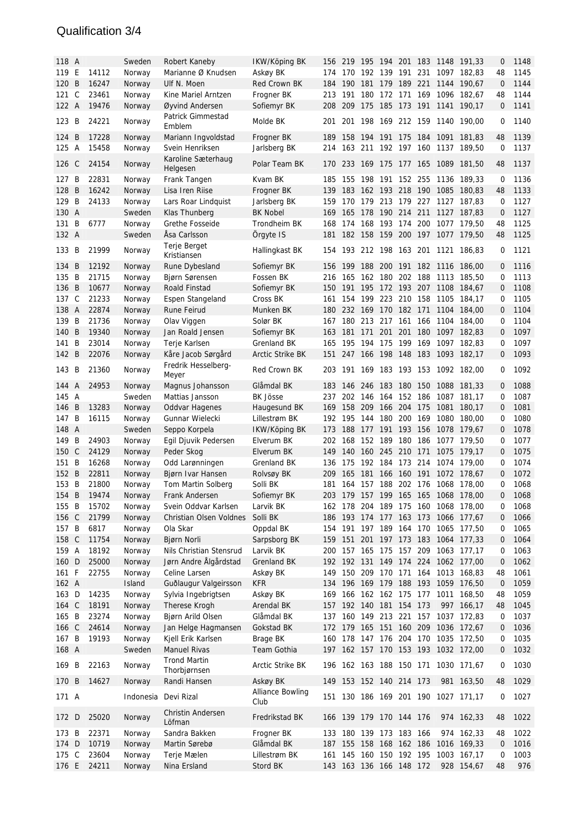#### Qualification 3/4

| 118 A |                |       | Sweden           | Robert Kaneby                       | IKW/Köping BK                   | 156        |                         |                     |            |             |                |      | 219 195 194 201 183 1148 191,33     | 0            | 1148 |
|-------|----------------|-------|------------------|-------------------------------------|---------------------------------|------------|-------------------------|---------------------|------------|-------------|----------------|------|-------------------------------------|--------------|------|
| 119   | E              | 14112 | Norway           | Marianne Ø Knudsen                  | Askøy BK                        | 174        | 170                     | 192                 |            | 139 191     | 231            | 1097 | 182,83                              | 48           | 1145 |
| 120   | <sup>B</sup>   | 16247 | Norway           | Ulf N. Moen                         | Red Crown BK                    | 184        | 190                     | 181                 |            | 179 189 221 |                |      | 1144 190.67                         | $\mathbf 0$  | 1144 |
| 121   | $\mathsf{C}$   | 23461 | Norway           | Kine Mariel Arntzen                 | Frogner BK                      | 213        | 191                     | 180                 | 172        | 171         | 169            |      | 1096 182,67                         | 48           | 1144 |
| 122 A |                | 19476 | Norway           | Øyvind Andersen                     | Sofiemyr BK                     | 208        | 209                     | 175                 |            |             |                |      | 185 173 191 1141 190.17             | $\mathbf 0$  | 1141 |
| 123   | - B            | 24221 | Norway           | Patrick Gimmestad                   | Molde BK                        | 201        | 201                     | 198                 |            | 169 212 159 |                |      | 1140 190.00                         | 0            | 1140 |
|       |                |       |                  | Emblem                              |                                 |            |                         |                     |            |             |                |      |                                     |              |      |
| 124   | B              | 17228 | Norway           | Mariann Ingvoldstad                 | Frogner BK                      | 189        | 158                     | 194                 | 191 175    |             | 184            |      | 1091 181,83                         | 48           | 1139 |
| 125   | A              | 15458 | Norway           | Svein Henriksen                     | Jarlsberg BK                    | 214        | 163                     | 211                 |            | 192 197 160 |                |      | 1137 189,50                         | 0            | 1137 |
| 126 C |                | 24154 | Norway           | Karoline Sæterhaug                  | Polar Team BK                   |            |                         |                     |            |             |                |      | 170 233 169 175 177 165 1089 181,50 | 48           | 1137 |
| 127 B |                | 22831 | Norway           | Helgesen<br>Frank Tangen            | Kvam BK                         | 185        | 155                     | 198                 |            | 191 152 255 |                |      | 1136 189,33                         | 0            | 1136 |
| 128   | B              | 16242 | Norway           | Lisa Iren Riise                     | Frogner BK                      | 139        | 183                     | 162                 | 193 218    |             | 190            |      | 1085 180,83                         | 48           | 1133 |
| 129   | B              | 24133 | Norway           | Lars Roar Lindquist                 | Jarlsberg BK                    | 159        | 170                     | 179                 | 213        | 179         | 227            |      | 1127 187,83                         | 0            | 1127 |
| 130 A |                |       | Sweden           | Klas Thunberg                       | <b>BK Nobel</b>                 | 169        | 165                     | 178                 |            | 190 214 211 |                |      | 1127 187,83                         | $\mathbf 0$  | 1127 |
| 131   | B              | 6777  | Norway           | Grethe Fosseide                     | Trondheim BK                    | 168        | 174                     | 168                 |            | 193 174 200 |                |      | 1077 179,50                         | 48           | 1125 |
| 132 A |                |       | Sweden           | Åsa Carlsson                        | Örgyte IS                       | 181        |                         |                     |            |             |                |      | 182 158 159 200 197 1077 179,50     | 48           | 1125 |
|       |                |       |                  | Terje Berget                        |                                 |            |                         |                     |            |             |                |      |                                     |              |      |
| 133   | B              | 21999 | Norway           | Kristiansen                         | Hallingkast BK                  | 154        |                         | 193 212 198 163 201 |            |             |                |      | 1121 186,83                         | 0            | 1121 |
| 134   | B              | 12192 | Norway           | Rune Dybesland                      | Sofiemyr BK                     | 156        | 199                     | 188                 | 200        | 191         | 182            |      | 1116 186,00                         | $\mathbf{0}$ | 1116 |
| 135   | B              | 21715 | Norway           | Bjørn Sørensen                      | Fossen BK                       | 216        | 165                     | 162                 |            | 180 202 188 |                |      | 1113 185,50                         | 0            | 1113 |
| 136 B |                | 10677 | Norway           | Roald Finstad                       | Sofiemyr BK                     |            | 150 191                 | 195                 |            |             |                |      | 172 193 207 1108 184.67             | 0            | 1108 |
| 137   | $\mathsf{C}$   | 21233 | Norway           | Espen Stangeland                    | Cross BK                        | 161        | 154                     | 199                 |            |             |                |      | 223 210 158 1105 184,17             | 0            | 1105 |
| 138 A |                | 22874 | Norway           | Rune Feirud                         | Munken BK                       | 180        |                         | 232 169 170 182 171 |            |             |                |      | 1104 184,00                         | 0            | 1104 |
| 139   | B              | 21736 | Norway           | Olav Viggen                         | Solør BK                        | 167        |                         | 180 213             | 217 161    |             | 166            |      | 1104 184,00                         | 0            | 1104 |
| 140   | <sup>B</sup>   | 19340 | Norway           | Jan Roald Jensen                    | Sofiemyr BK                     | 163        | 181                     | 171                 | 201        | 201         | 180            |      | 1097 182,83                         | $\mathbf 0$  | 1097 |
| 141   | B              | 23014 | Norway           | Terje Karlsen                       | Grenland BK                     | 165        | 195                     | 194                 | 175        | 199         | 169            | 1097 | 182,83                              | 0            | 1097 |
| 142 B |                | 22076 | Norway           | Kåre Jacob Sørgård                  | Arctic Strike BK                | 151        |                         |                     |            |             |                |      | 247 166 198 148 183 1093 182,17     | $\mathbf{0}$ | 1093 |
| 143   | B              | 21360 | Norway           | Fredrik Hesselberg-                 | Red Crown BK                    | 203        |                         |                     |            |             |                |      | 191 169 183 193 153 1092 182,00     | 0            | 1092 |
| 144   | $\overline{A}$ | 24953 |                  | Meyer                               |                                 |            | 146                     | 246                 |            |             |                |      |                                     |              | 1088 |
| 145   | A              |       | Norway<br>Sweden | Magnus Johansson<br>Mattias Jansson | Glåmdal BK<br><b>BK Jösse</b>   | 183<br>237 | 202                     | 146                 | 183<br>164 | 180         | 150<br>152 186 |      | 1088 181,33<br>1087 181,17          | 0<br>0       | 1087 |
| 146   | B              | 13283 | Norway           | <b>Oddvar Hagenes</b>               | Haugesund BK                    | 169        | 158 209                 |                     |            | 166 204     | 175            | 1081 | 180,17                              | 0            | 1081 |
| 147   | B              | 16115 | Norway           | Gunnar Wielecki                     | Lillestrøm BK                   |            | 192 195 144             |                     |            | 180 200 169 |                |      | 1080 180,00                         | 0            | 1080 |
| 148 A |                |       | Sweden           | Seppo Korpela                       | IKW/Köping BK                   | 173        | 188                     | 177                 |            |             |                |      | 191 193 156 1078 179,67             | 0            | 1078 |
| 149 B |                | 24903 | Norway           | Egil Djuvik Pedersen                | Elverum BK                      | 202        | 168                     | 152                 | 189        | 180         | 186            |      | 1077 179,50                         | 0            | 1077 |
| 150 C |                | 24129 | Norway           | Peder Skog                          | Elverum BK                      | 149        |                         | 140 160 245 210 171 |            |             |                |      | 1075 179,17                         | $\mathbf{0}$ | 1075 |
| 151 B |                | 16268 | Norway           | Odd Larønningen                     | Grenland BK                     | 136        | 175                     | 192                 | 184        | 173 214     |                |      | 1074 179.00                         | 0            | 1074 |
| 152 B |                | 22811 | Norway           | Bjørn Ivar Hansen                   | Rolvsøy BK                      | 209        | 165                     | 181                 | 166        | 160 191     |                |      | 1072 178,67                         | $\mathbf{0}$ | 1072 |
| 153 B |                | 21800 | Norway           | Tom Martin Solberg                  | Solli BK                        | 181        | 164                     | 157                 | 188        | 202 176     |                |      | 1068 178,00                         | 0            | 1068 |
| 154 B |                | 19474 | Norway           | Frank Andersen                      | Sofiemyr BK                     | 203        |                         |                     |            |             |                |      | 179 157 199 165 165 1068 178.00     | 0            | 1068 |
| 155 B |                | 15702 | Norway           | Svein Oddvar Karlsen                | Larvik BK                       |            |                         |                     |            |             |                |      | 162 178 204 189 175 160 1068 178,00 | 0            | 1068 |
| 156 C |                | 21799 | Norway           | Christian Olsen Voldnes             | Solli BK                        |            |                         |                     |            |             |                |      | 186 193 174 177 163 173 1066 177,67 | 0            | 1066 |
| 157 B |                | 6817  | Norway           | Ola Skar                            | Oppdal BK                       |            |                         |                     |            |             |                |      | 154 191 197 189 164 170 1065 177,50 | 0            | 1065 |
| 158 C |                | 11754 | Norway           | Bjørn Norli                         | Sarpsborg BK                    |            |                         |                     |            |             |                |      | 159 151 201 197 173 183 1064 177,33 | 0            | 1064 |
| 159 A |                | 18192 | Norway           | Nils Christian Stensrud             | Larvik BK                       | 200        |                         |                     |            |             |                |      | 157 165 175 157 209 1063 177,17     | 0            | 1063 |
| 160 D |                | 25000 | Norway           | Jørn Andre Ålgårdstad               | Grenland BK                     |            |                         |                     |            |             |                |      | 192 192 131 149 174 224 1062 177,00 | 0            | 1062 |
| 161 F |                | 22755 | Norway           | Celine Larsen                       | Askøy BK                        |            |                         |                     |            |             |                |      | 149 150 209 170 171 164 1013 168,83 | 48           | 1061 |
| 162 A |                |       | Island           | Guðlaugur Valgeirsson               | <b>KFR</b>                      |            |                         |                     |            |             |                |      | 134 196 169 179 188 193 1059 176,50 | 0            | 1059 |
| 163 D |                | 14235 | Norway           | Sylvia Ingebrigtsen                 | Askøy BK                        |            |                         |                     |            |             |                |      | 169 166 162 162 175 177 1011 168,50 | 48           | 1059 |
| 164 C |                | 18191 | Norway           | Therese Krogh                       | Arendal BK                      | 157        |                         | 192 140 181 154 173 |            |             |                |      | 997 166,17                          | 48           | 1045 |
| 165 B |                | 23274 | Norway           | Bjørn Arild Olsen                   | Glåmdal BK                      | 137        |                         |                     |            |             |                |      | 160 149 213 221 157 1037 172,83     | 0            | 1037 |
| 166 C |                | 24614 | Norway           | Jan Helge Hagmansen                 | Gokstad BK                      | 172        |                         |                     |            |             |                |      | 179 165 151 160 209 1036 172,67     | 0            | 1036 |
| 167 B |                | 19193 | Norway           | Kjell Erik Karlsen                  | Brage BK                        |            | 160 178 147 176 204 170 |                     |            |             |                |      | 1035 172,50                         | 0            | 1035 |
| 168 A |                |       | Sweden           | Manuel Rivas                        | Team Gothia                     |            |                         |                     |            |             |                |      | 197 162 157 170 153 193 1032 172,00 | 0            | 1032 |
| 169 B |                | 22163 | Norway           | <b>Trond Martin</b><br>Thorbjørnsen | Arctic Strike BK                |            |                         |                     |            |             |                |      | 196 162 163 188 150 171 1030 171,67 | 0            | 1030 |
| 170 B |                | 14627 | Norway           | Randi Hansen                        | Askøy BK                        |            | 149 153 152 140 214 173 |                     |            |             |                |      | 981 163,50                          | 48           | 1029 |
| 171 A |                |       |                  | Indonesia Devi Rizal                | <b>Alliance Bowling</b><br>Club |            |                         |                     |            |             |                |      | 151 130 186 169 201 190 1027 171,17 | 0            | 1027 |
| 172 D |                | 25020 | Norway           | Christin Andersen<br>Löfman         | Fredrikstad BK                  |            | 166 139 179 170 144 176 |                     |            |             |                |      | 974 162,33                          | 48           | 1022 |
| 173 B |                | 22371 | Norway           | Sandra Bakken                       | Frogner BK                      |            | 133 180 139 173 183 166 |                     |            |             |                |      | 974 162,33                          | 48           | 1022 |
| 174 D |                | 10719 | Norway           | Martin Sørebø                       | Glåmdal BK                      |            |                         |                     |            |             |                |      | 187 155 158 168 162 186 1016 169,33 | $\mathbf 0$  | 1016 |
| 175 C |                | 23604 | Norway           | Terje Mælen                         | Lillestrøm BK                   | 161        |                         |                     |            |             |                |      | 145 160 150 192 195 1003 167,17     | 0            | 1003 |
| 176 E |                | 24211 | Norway           | Nina Ersland                        | Stord BK                        |            | 143 163 136 166 148 172 |                     |            |             |                |      | 928 154,67                          | 48           | 976  |
|       |                |       |                  |                                     |                                 |            |                         |                     |            |             |                |      |                                     |              |      |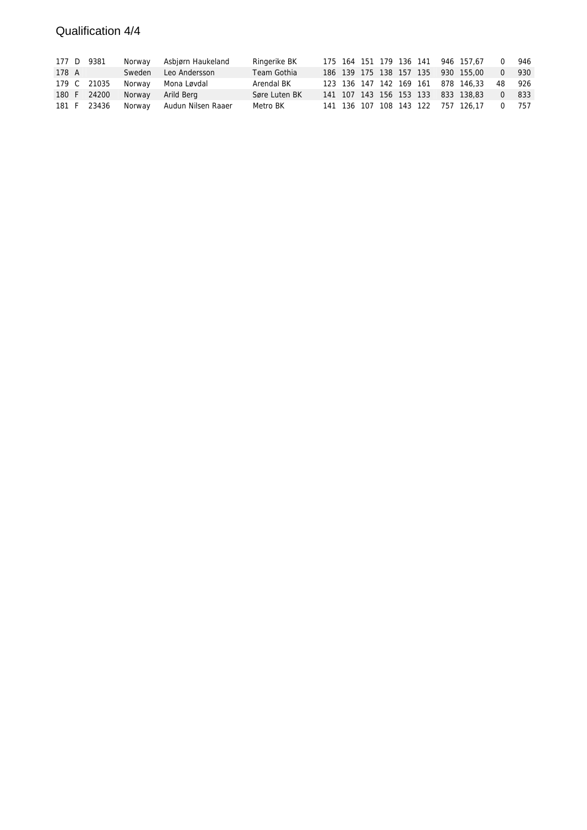## Qualification 4/4

|       | 177 D 9381  | Norway | Asbjørn Haukeland         | Ringerike BK  |  |  |  | 175 164 151 179 136 141 946 157,67 | $\Omega$ | 946 |
|-------|-------------|--------|---------------------------|---------------|--|--|--|------------------------------------|----------|-----|
| 178 A |             | Sweden | Leo Andersson             | Team Gothia   |  |  |  | 186 139 175 138 157 135 930 155,00 | $\Omega$ | 930 |
|       | 179 C 21035 | Norway | Mona Løvdal               | Arendal BK    |  |  |  | 123 136 147 142 169 161 878 146.33 | 48       | 926 |
|       | 180 F 24200 | Norway | Arild Bera                | Søre Luten BK |  |  |  | 141 107 143 156 153 133 833 138,83 | $\Omega$ | 833 |
|       | 181 F 23436 |        | Norway Audun Nilsen Raaer | Metro BK      |  |  |  | 141 136 107 108 143 122 757 126,17 | $\Omega$ | 757 |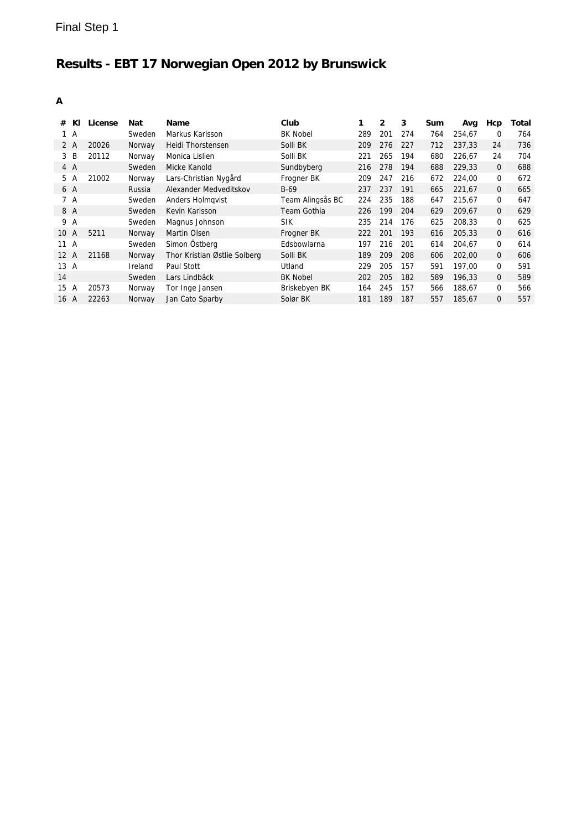| KI<br>#                | License | Nat     | <b>Name</b>                  | Club             | 1   | $\mathbf{2}$ | 3   | Sum | Avg    | Нср          | Total |
|------------------------|---------|---------|------------------------------|------------------|-----|--------------|-----|-----|--------|--------------|-------|
| 1 A                    |         | Sweden  | Markus Karlsson              | <b>BK Nobel</b>  | 289 | 201          | 274 | 764 | 254,67 | 0            | 764   |
| 2 A                    | 20026   | Norway  | Heidi Thorstensen            | Solli BK         | 209 | 276          | 227 | 712 | 237.33 | 24           | 736   |
| B<br>3                 | 20112   | Norway  | Monica Lislien               | Solli BK         | 221 | 265          | 194 | 680 | 226.67 | 24           | 704   |
| 4 A                    |         | Sweden  | Micke Kanold                 | Sundbyberg       | 216 | 278          | 194 | 688 | 229.33 | $\mathbf{0}$ | 688   |
| 5 A                    | 21002   | Norway  | Lars-Christian Nygård        | Frogner BK       | 209 | 247          | 216 | 672 | 224,00 | $\mathbf 0$  | 672   |
| 6 A                    |         | Russia  | Alexander Medveditskov       | $B-69$           | 237 | 237          | 191 | 665 | 221.67 | $\mathbf{0}$ | 665   |
| 7 A                    |         | Sweden  | Anders Holmgvist             | Team Alingsås BC | 224 | 235          | 188 | 647 | 215,67 | 0            | 647   |
| 8 A                    |         | Sweden  | Kevin Karlsson               | Team Gothia      | 226 | 199          | 204 | 629 | 209.67 | $\mathbf{0}$ | 629   |
| 9 A                    |         | Sweden  | Magnus Johnson               | <b>SIK</b>       | 235 | 214          | 176 | 625 | 208.33 | $\mathbf 0$  | 625   |
| 10<br>A                | 5211    | Norway  | Martin Olsen                 | Frogner BK       | 222 | 201          | 193 | 616 | 205,33 | $\mathbf{0}$ | 616   |
| 11 A                   |         | Sweden  | Simon Östberg                | Edsbowlarna      | 197 | 216          | 201 | 614 | 204,67 | 0            | 614   |
| $12 \overline{ }$<br>A | 21168   | Norway  | Thor Kristian Østlie Solberg | Solli BK         | 189 | 209          | 208 | 606 | 202,00 | $\mathbf{0}$ | 606   |
| 13<br>A                |         | Ireland | Paul Stott                   | Utland           | 229 | 205          | 157 | 591 | 197,00 | 0            | 591   |
| 14                     |         | Sweden  | Lars Lindbäck                | <b>BK Nobel</b>  | 202 | 205          | 182 | 589 | 196.33 | $\mathbf{0}$ | 589   |
| 15<br>Α                | 20573   | Norway  | Tor Inge Jansen              | Briskebyen BK    | 164 | 245          | 157 | 566 | 188,67 | $\mathbf 0$  | 566   |
| A<br>16                | 22263   | Norway  | Jan Cato Sparby              | Solør BK         | 181 | 189          | 187 | 557 | 185.67 | $\mathbf{0}$ | 557   |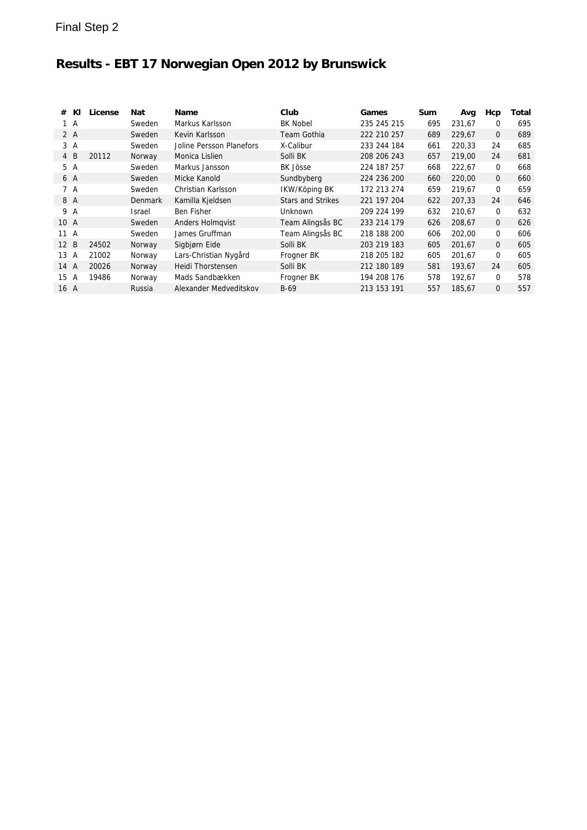| #    | KI  | License | Nat            | Name                     | Club                     | Games       | <b>Sum</b> | Avg    | Нср          | Total |
|------|-----|---------|----------------|--------------------------|--------------------------|-------------|------------|--------|--------------|-------|
|      | 1 A |         | Sweden         | Markus Karlsson          | <b>BK Nobel</b>          | 235 245 215 | 695        | 231.67 | 0            | 695   |
|      | 2 A |         | Sweden         | Kevin Karlsson           | Team Gothia              | 222 210 257 | 689        | 229.67 | $\mathbf{0}$ | 689   |
|      | 3 A |         | Sweden         | Joline Persson Planefors | X-Calibur                | 233 244 184 | 661        | 220.33 | 24           | 685   |
|      | 4 B | 20112   | Norway         | Monica Lislien           | Solli BK                 | 208 206 243 | 657        | 219.00 | 24           | 681   |
|      | 5 A |         | Sweden         | Markus Jansson           | BK Jösse                 | 224 187 257 | 668        | 222.67 | $\mathbf 0$  | 668   |
|      | 6 A |         | Sweden         | Micke Kanold             | Sundbyberg               | 224 236 200 | 660        | 220,00 | $\mathbf{0}$ | 660   |
|      | 7 A |         | Sweden         | Christian Karlsson       | IKW/Köping BK            | 172 213 274 | 659        | 219,67 | $\mathbf 0$  | 659   |
|      | 8 A |         | <b>Denmark</b> | Kamilla Kjeldsen         | <b>Stars and Strikes</b> | 221 197 204 | 622        | 207.33 | 24           | 646   |
|      | 9 A |         | Israel         | Ben Fisher               | <b>Unknown</b>           | 209 224 199 | 632        | 210,67 | $\mathbf 0$  | 632   |
| 10 A |     |         | Sweden         | Anders Holmqvist         | Team Alingsås BC         | 233 214 179 | 626        | 208,67 | $\mathbf{0}$ | 626   |
| 11 A |     |         | Sweden         | James Gruffman           | Team Alingsås BC         | 218 188 200 | 606        | 202.00 | 0            | 606   |
| 12   | B   | 24502   | Norway         | Sigbjørn Eide            | Solli BK                 | 203 219 183 | 605        | 201,67 | $\mathbf{0}$ | 605   |
| 13   | A   | 21002   | Norway         | Lars-Christian Nygård    | Frogner BK               | 218 205 182 | 605        | 201,67 | $\mathbf 0$  | 605   |
| 14   | A   | 20026   | Norway         | Heidi Thorstensen        | Solli BK                 | 212 180 189 | 581        | 193,67 | 24           | 605   |
| 15   | A   | 19486   | Norway         | Mads Sandbækken          | Frogner BK               | 194 208 176 | 578        | 192,67 | $\Omega$     | 578   |
| 16 A |     |         | Russia         | Alexander Medveditskov   | $B-69$                   | 213 153 191 | 557        | 185,67 | 0            | 557   |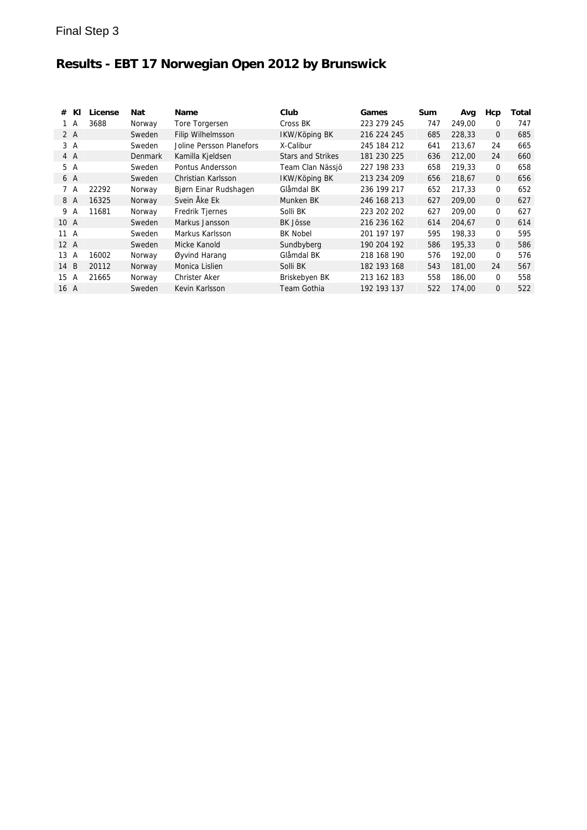| #              | КI  | License | Nat            | Name                     | Club                     | Games       | Sum | Avg    | Hcp          | Total |
|----------------|-----|---------|----------------|--------------------------|--------------------------|-------------|-----|--------|--------------|-------|
|                | 1 A | 3688    | Norway         | Tore Torgersen           | Cross BK                 | 223 279 245 | 747 | 249,00 | $\mathbf 0$  | 747   |
|                | 2 A |         | Sweden         | Filip Wilhelmsson        | IKW/Köping BK            | 216 224 245 | 685 | 228,33 | $\mathbf{0}$ | 685   |
|                | 3 A |         | Sweden         | Joline Persson Planefors | X-Calibur                | 245 184 212 | 641 | 213,67 | 24           | 665   |
|                | 4 A |         | <b>Denmark</b> | Kamilla Kjeldsen         | <b>Stars and Strikes</b> | 181 230 225 | 636 | 212,00 | 24           | 660   |
|                | 5 A |         | Sweden         | Pontus Andersson         | Team Clan Nässjö         | 227 198 233 | 658 | 219,33 | $\mathbf 0$  | 658   |
|                | 6 A |         | Sweden         | Christian Karlsson       | IKW/Köping BK            | 213 234 209 | 656 | 218.67 | $\mathbf{0}$ | 656   |
|                | 7 A | 22292   | Norway         | Bjørn Einar Rudshagen    | Glåmdal BK               | 236 199 217 | 652 | 217.33 | $\mathbf 0$  | 652   |
|                | 8 A | 16325   | Norway         | Svein Åke Ek             | Munken BK                | 246 168 213 | 627 | 209.00 | $\mathbf{0}$ | 627   |
|                | 9 A | 11681   | Norway         | Fredrik Tjernes          | Solli BK                 | 223 202 202 | 627 | 209,00 | $\mathbf 0$  | 627   |
| 10 A           |     |         | Sweden         | Markus Jansson           | <b>BK Jösse</b>          | 216 236 162 | 614 | 204,67 | $\mathbf{0}$ | 614   |
| 11 A           |     |         | Sweden         | Markus Karlsson          | <b>BK Nobel</b>          | 201 197 197 | 595 | 198.33 | $\mathbf 0$  | 595   |
| $12 \text{ A}$ |     |         | Sweden         | Micke Kanold             | Sundbyberg               | 190 204 192 | 586 | 195,33 | $\mathbf{0}$ | 586   |
| 13             | A   | 16002   | Norway         | Øyvind Harang            | Glåmdal BK               | 218 168 190 | 576 | 192.00 | $\Omega$     | 576   |
| 14             | B   | 20112   | Norway         | Monica Lislien           | Solli BK                 | 182 193 168 | 543 | 181.00 | 24           | 567   |
| 15             | A   | 21665   | Norway         | Christer Aker            | Briskebyen BK            | 213 162 183 | 558 | 186,00 | $\Omega$     | 558   |
| 16 A           |     |         | Sweden         | Kevin Karlsson           | Team Gothia              | 192 193 137 | 522 | 174,00 | $\Omega$     | 522   |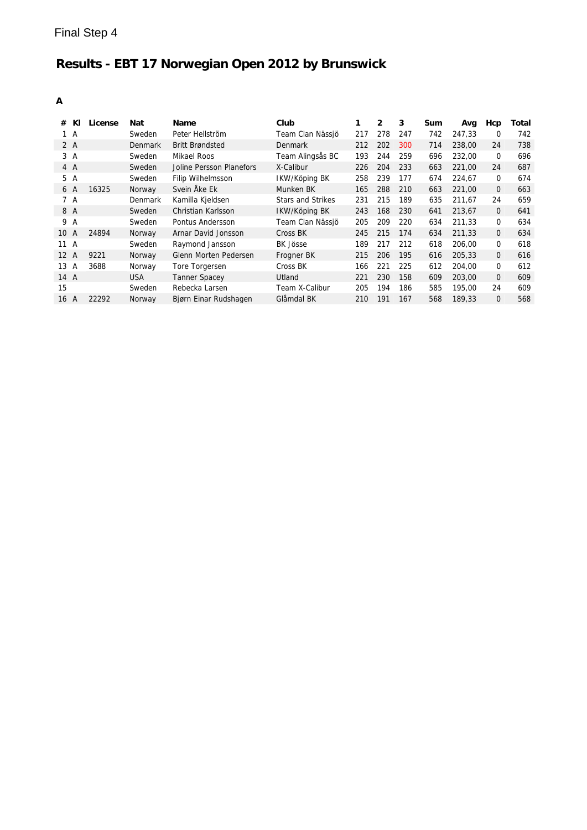| KI<br>#              | License | Nat        | Name                     | Club                     | 1   | $\overline{2}$ | 3   | Sum | Avg    | Hcp          | Total |
|----------------------|---------|------------|--------------------------|--------------------------|-----|----------------|-----|-----|--------|--------------|-------|
| 1 A                  |         | Sweden     | Peter Hellström          | Team Clan Nässjö         | 217 | 278            | 247 | 742 | 247.33 | 0            | 742   |
| 2A                   |         | Denmark    | <b>Britt Brøndsted</b>   | Denmark                  | 212 | 202            | 300 | 714 | 238,00 | 24           | 738   |
| 3A                   |         | Sweden     | Mikael Roos              | Team Alingsås BC         | 193 | 244            | 259 | 696 | 232,00 | 0            | 696   |
| 4 A                  |         | Sweden     | Joline Persson Planefors | X-Calibur                | 226 | 204            | 233 | 663 | 221,00 | 24           | 687   |
| 5<br>A               |         | Sweden     | <b>Filip Wilhelmsson</b> | IKW/Köping BK            | 258 | 239            | 177 | 674 | 224.67 | 0            | 674   |
| 6 A                  | 16325   | Norway     | Svein Åke Ek             | Munken BK                | 165 | 288            | 210 | 663 | 221.00 | 0            | 663   |
| 7 A                  |         | Denmark    | Kamilla Kjeldsen         | <b>Stars and Strikes</b> | 231 | 215            | 189 | 635 | 211.67 | 24           | 659   |
| 8 A                  |         | Sweden     | Christian Karlsson       | IKW/Köping BK            | 243 | 168            | 230 | 641 | 213.67 | 0            | 641   |
| 9<br>A               |         | Sweden     | Pontus Andersson         | Team Clan Nässjö         | 205 | 209            | 220 | 634 | 211.33 | 0            | 634   |
| 10<br>A              | 24894   | Norway     | Arnar David Jonsson      | Cross BK                 | 245 | 215            | 174 | 634 | 211.33 | 0            | 634   |
| 11<br>$\overline{A}$ |         | Sweden     | Raymond Jansson          | <b>BK Jösse</b>          | 189 | 217            | 212 | 618 | 206,00 | 0            | 618   |
| 12 A                 | 9221    | Norway     | Glenn Morten Pedersen    | Frogner BK               | 215 | 206            | 195 | 616 | 205,33 | 0            | 616   |
| 13<br>А              | 3688    | Norway     | Tore Torgersen           | Cross BK                 | 166 | 221            | 225 | 612 | 204.00 | 0            | 612   |
| 14 A                 |         | <b>USA</b> | <b>Tanner Spacey</b>     | Utland                   | 221 | 230            | 158 | 609 | 203,00 | $\mathbf{0}$ | 609   |
| 15                   |         | Sweden     | Rebecka Larsen           | Team X-Calibur           | 205 | 194            | 186 | 585 | 195.00 | 24           | 609   |
| 16<br>A              | 22292   | Norway     | Bjørn Einar Rudshagen    | Glåmdal BK               | 210 | 191            | 167 | 568 | 189.33 | 0            | 568   |